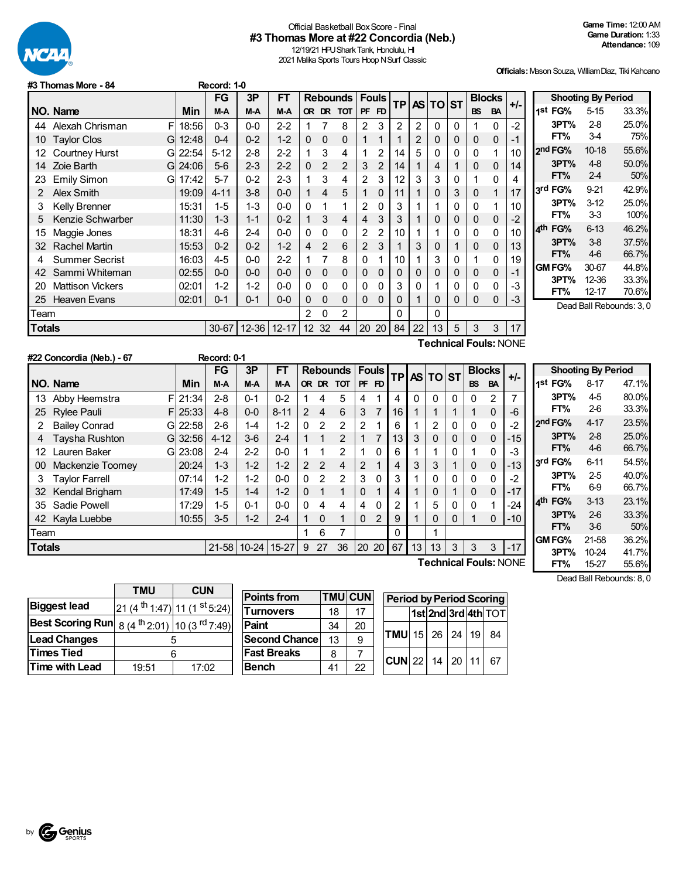

## Official Basketball BoxScore - Final **#3 Thomas More at #22 Concordia (Neb.)**

12/19/21 HPU Shark Tank, Honolulu, HI 2021 Malika Sports Tours Hoop N Surf Classic

**Officials:**Mason Souza, WilliamDiaz, Tiki Kahoano

|           | דט וווטוווטטוווטוני      |          | דו שטעעו  |           |           |   |             |                           |                |                |                |    |                    |              |           |                              |       |                        |                           |       |
|-----------|--------------------------|----------|-----------|-----------|-----------|---|-------------|---------------------------|----------------|----------------|----------------|----|--------------------|--------------|-----------|------------------------------|-------|------------------------|---------------------------|-------|
|           |                          |          | <b>FG</b> | 3P        | <b>FT</b> |   |             | <b>Rebounds   Fouls  </b> |                |                |                |    | <b>TP AS TO ST</b> |              |           | <b>Blocks</b>                | $+/-$ |                        | <b>Shooting By Period</b> |       |
|           | NO. Name                 | Min      | M-A       | M-A       | M-A       |   | OR DR       | <b>TOT</b>                | <b>PF</b>      | FD             |                |    |                    |              | <b>BS</b> | <b>BA</b>                    |       | 1st<br>FG%             | $5 - 15$                  | 33.3% |
| 44        | Alexah Chrisman<br>F     | 18:56    | $0 - 3$   | $0-0$     | $2 - 2$   |   |             | 8                         | $\overline{2}$ | 3              | $\overline{2}$ | 2  | $\Omega$           | $\Omega$     |           | 0                            | $-2$  | 3PT%                   | $2-8$                     | 25.0% |
| 10        | <b>Taylor Clos</b><br>GI | 12:48    | $0 - 4$   | $0 - 2$   | $1 - 2$   | 0 | $\mathbf 0$ | 0                         |                |                |                | 2  | 0                  | 0            | 0         | 0                            | -1    | FT%                    | 34                        | 75%   |
| 12.       | <b>Courtney Hurst</b>    | G 22:54  | $5 - 12$  | $2 - 8$   | $2 - 2$   |   | 3           | 4                         |                | 2              | 14             | 5  | 0                  | 0            | 0         |                              | 10    | 2 <sup>nd</sup> FG%    | $10 - 18$                 | 55.6% |
| 14        | Zoie Barth               | GI 24:06 | $5-6$     | $2 - 3$   | $2 - 2$   | 0 | 2           | 2                         | 3              | $\overline{2}$ | 14             |    | 4                  |              | 0         | 0                            | 14    | 3PT%                   | $4-8$                     | 50.0% |
| 23        | Emily Simon              | GI 17:42 | $5 - 7$   | $0 - 2$   | $2 - 3$   |   | 3           | 4                         | 2              | 3              | 12             |    | 3                  | 0            |           | 0                            | 4     | FT%                    | $2 - 4$                   | 50%   |
| 2         | Alex Smith               | 19:09    | $4 - 11$  | $3-8$     | $0-0$     |   | 4           | 5                         |                | $\Omega$       | 11             |    | 0                  | 3            | 0         | 1                            | 17    | 3 <sup>rd</sup> FG%    | $9-21$                    | 42.9% |
| 3         | Kelly Brenner            | 15:31    | $1 - 5$   | $1 - 3$   | $0-0$     | 0 |             |                           | $\overline{2}$ | $\Omega$       | 3              |    |                    | $\Omega$     | 0         |                              | 10    | 3PT%                   | $3-12$                    | 25.0% |
| 5         | Kenzie Schwarber         | 11:30    | $1 - 3$   | $1 - 1$   | $0 - 2$   |   | 3           | 4                         | 4              | 3              | 3              |    | 0                  | 0            | 0         | 0                            | $-2$  | FT%                    | 33                        | 100%  |
| 15        | Maggie Jones             | 18:31    | $4-6$     | $2 - 4$   | $0-0$     | 0 | 0           | 0                         | 2              | 2              | 10             |    |                    | 0            | 0         | 0                            | 10    | 4 <sup>th</sup><br>FG% | $6 - 13$                  | 46.2% |
| 32        | <b>Rachel Martin</b>     | 15:53    | $0 - 2$   | $0 - 2$   | $1 - 2$   | 4 | 2           | 6                         | 2              | 3              |                | 3  | 0                  |              | 0         | 0                            | 13    | 3PT%                   | $3-8$                     | 37.5% |
| 4         | <b>Summer Secrist</b>    | 16:03    | $4 - 5$   | 0-0       | $2 - 2$   |   |             | 8                         | 0              |                | 10             |    | 3                  | 0            |           | 0                            | 19    | FT%                    | 46                        | 66.7% |
| 42        | Sammi Whiteman           | 02:55    | $0 - 0$   | $0 - 0$   | $0-0$     | 0 | $\Omega$    | 0                         | $\Omega$       | $\Omega$       | 0              |    | 0                  | $\Omega$     | 0         | 0                            | -1    | GM FG%                 | 30-67                     | 44.8% |
| <b>20</b> | Mattison Vickers         | 02:01    | $1 - 2$   | $1 - 2$   | $0-0$     | 0 | 0           | 0                         | 0              | 0              | 3              |    |                    | 0            | 0         | 0                            | -3    | 3PT%                   | 12-36                     | 33.3% |
|           | 25 Heaven Evans          | 02:01    | $0 - 1$   | $0 - 1$   | $0-0$     | 0 | 0           | 0                         | $\Omega$       | $\Omega$       | 0              |    | 0                  | $\mathbf{0}$ | 0         | $\Omega$                     | -3    | FT%                    | $12 - 17$                 | 70.6% |
| Team      |                          |          |           |           |           | 2 | 0           | $\overline{2}$            |                |                | 0              |    | 0                  |              |           |                              |       |                        | Dead Ball Rebounds: 3, 0  |       |
| Totals    |                          |          | $30 - 67$ | $12 - 36$ | $12 - 17$ |   | 12 32       | 44                        |                | 20 20          | 84             | 22 | 13                 | 5            | 3         | 3                            | 17    |                        |                           |       |
|           |                          |          |           |           |           |   |             |                           |                |                |                |    |                    |              |           | <b>Technical Fouls: NONE</b> |       |                        |                           |       |

13 Abby Heemstra F | 21:34 | 2-8 | 0-1 | 0-2 | 1 4 5 | 4 1 | 4 | 0 | 0 | 0 | 0 | 0 | 2 | 7 25 Rylee Pauli F 25:33 4-8 | 0-0 | 8-11 | 2 4 6 | 3 7 | 16 | 1 | 1 | 1 | 1 | 0 | -6 2 Bailey Conrad G 22:58 2-6 1-4 1 1-2 0 2 2 2 2 1 6 1 1 2 0 0 0 -2 4 Taysha Rushton G 32:56 4-12 3-6 2-4 1 1 2 1 7 13 3 0 0 0 0 -15 12 Lauren Baker 23:08 2-4 2-2 0-0 1 1 2 1 0 6 1 1 0 1 0 -3 00 Mackenzie Toomey 20:24 1-3 1-2 1-2 2 2 4 2 1 4 3 3 1 0 0 -13 3 Taylor Farrell 07:14 1-2 1-2 0-0 0 2 2 3 0 3 1 0 0 0 0 -2 32 Kendal Brigham 17:49 1-5 1-4 1-2 0 1 1 0 1 4 1 0 1 0 0 -17 35 Sadie Powell 17:29 1-5 0-1 0-0 0 4 4 4 0 2 1 5 0 0 1 -24 42 Kayla Luebbe 10:55 3-5 1-2 2-4 1 0 1 0 2 9 1 0 0 1 0 -10

**Totals** 21-58 10-24 15-27 9 27 36 20 20 67 13 3 3 3 -17

Team 1 6 7 0 11

**FG 3P FT Rebounds Fouls TP AS TO ST**

 $\begin{bmatrix} \n\text{FG} & \n\text{3P} & \n\text{FT} & \n\end{bmatrix}$  Rebounds  $\begin{bmatrix} \text{Fouls} \\ \text{PF} & \text{FD} \n\end{bmatrix}$  TO  $\begin{bmatrix} \text{ST} \\ \text{BS} \end{bmatrix}$   $\begin{bmatrix} \text{BlockS} \\ \text{BS} \end{bmatrix}$  +/-

|            | <b>Shooting By Period</b> |       |
|------------|---------------------------|-------|
| 1st<br>FG% | 8-17                      | 47.1% |
| 3PT%       | 4-5                       | 80.0% |
| FT%        | $2-6$                     | 33.3% |
| 2nd FG%    | $4 - 17$                  | 23.5% |
| 3PT%       | $2 - 8$                   | 25.0% |
| FT%        | $4-6$                     | 66.7% |
| 3rd FG%    | $6 - 11$                  | 54.5% |
| 3PT%       | $2-5$                     | 40.0% |
| FT%        | 6-9                       | 66.7% |
| ⊿th<br>FG% | $3 - 13$                  | 23.1% |
| 3PT%       | $2-6$                     | 33.3% |
| FT%        | 36                        | 50%   |
| GM FG%     | 21-58                     | 36.2% |
| 3PT%       | 10-24                     | 41.7% |

**Technical Fouls:**NONE

**FT%** 15-27 55.6% Dead Ball Rebounds: 8, 0

|                         | <b>TMU</b> | <b>CUN</b>                                          |  |  |  |  |
|-------------------------|------------|-----------------------------------------------------|--|--|--|--|
| <b>Biggest lead</b>     |            | 21 (4 <sup>th</sup> 1:47) 11 (1 <sup>st</sup> 5:24) |  |  |  |  |
| <b>Best Scoring Run</b> |            | 8 (4 <sup>th</sup> 2:01) 10 (3 <sup>rd</sup> 7:49)  |  |  |  |  |
| <b>Lead Changes</b>     |            |                                                     |  |  |  |  |
| <b>Times Tied</b>       |            |                                                     |  |  |  |  |
| <b>Time with Lead</b>   | 19:51      | 17:02                                               |  |  |  |  |

**NO. Name Min** 

**#22 Concordia (Neb.) - 67 Record: 0-1**

**#3 ThomasMore - 84 Record: 1-0**

 $F$ | 21:34  $F$ | 25:33  $G$  22:58 G  $32:56$ G $23:08$ 

| <b>Points from</b>   |    | <b>TMU CUN</b> | <b>Period by Period Scoring</b> |  |  |  |  |                     |  |  |  |
|----------------------|----|----------------|---------------------------------|--|--|--|--|---------------------|--|--|--|
| <b>Turnovers</b>     | 18 | 17             |                                 |  |  |  |  | 1st 2nd 3rd 4th TOT |  |  |  |
| Paint                | 34 | 20             | $TMU$ 15 26 24 19               |  |  |  |  |                     |  |  |  |
| <b>Second Chance</b> | 13 | 9              |                                 |  |  |  |  | 84                  |  |  |  |
| <b>Fast Breaks</b>   | 8  |                |                                 |  |  |  |  |                     |  |  |  |
| <b>Bench</b>         | 41 | 22             | $ CUN $ 22   14   20   11       |  |  |  |  | 67                  |  |  |  |

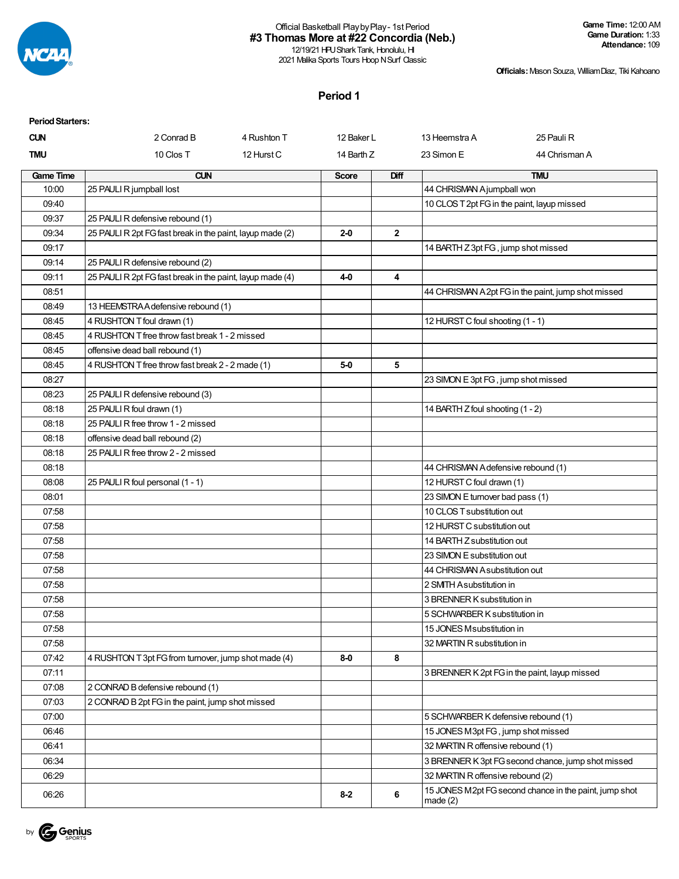

12/19/21 HPU Shark Tank, Honolulu, HI 2021 Malika Sports Tours Hoop N Surf Classic **Game Time:** 12:00 AM **Game Duration:** 1:33 **Attendance:** 109

**Officials:**Mason Souza, WilliamDiaz, Tiki Kahoano

## **Period 1**

| <b>Period Starters:</b> |                                                           |             |              |              |                                             |                                                        |
|-------------------------|-----------------------------------------------------------|-------------|--------------|--------------|---------------------------------------------|--------------------------------------------------------|
| <b>CUN</b>              | 2 Conrad B                                                | 4 Rushton T | 12 Baker L   |              | 13 Heemstra A                               | 25 Pauli R                                             |
| TMU                     | 10 Clos T                                                 | 12 Hurst C  | 14 Barth Z   |              | 23 Simon E                                  | 44 Chrisman A                                          |
| <b>Game Time</b>        | <b>CUN</b>                                                |             | <b>Score</b> | <b>Diff</b>  |                                             | <b>TMU</b>                                             |
| 10:00                   | 25 PAULI R jumpball lost                                  |             |              |              | 44 CHRISMAN Ajumpball won                   |                                                        |
| 09:40                   |                                                           |             |              |              | 10 CLOS T 2pt FG in the paint, layup missed |                                                        |
| 09:37                   | 25 PAULI R defensive rebound (1)                          |             |              |              |                                             |                                                        |
| 09:34                   | 25 PAULI R 2pt FG fast break in the paint, layup made (2) |             | $2 - 0$      | $\mathbf{2}$ |                                             |                                                        |
| 09:17                   |                                                           |             |              |              | 14 BARTH Z 3pt FG, jump shot missed         |                                                        |
| 09:14                   | 25 PAULI R defensive rebound (2)                          |             |              |              |                                             |                                                        |
| 09:11                   | 25 PAULI R 2pt FG fast break in the paint, layup made (4) |             | 4-0          | 4            |                                             |                                                        |
| 08:51                   |                                                           |             |              |              |                                             | 44 CHRISMAN A2pt FG in the paint, jump shot missed     |
| 08:49                   | 13 HEEMSTRA A defensive rebound (1)                       |             |              |              |                                             |                                                        |
| 08:45                   | 4 RUSHTON T foul drawn (1)                                |             |              |              | 12 HURST C foul shooting (1 - 1)            |                                                        |
| 08:45                   | 4 RUSHTON T free throw fast break 1 - 2 missed            |             |              |              |                                             |                                                        |
| 08:45                   | offensive dead ball rebound (1)                           |             |              |              |                                             |                                                        |
| 08:45                   | 4 RUSHTON T free throw fast break 2 - 2 made (1)          |             | 5-0          | 5            |                                             |                                                        |
| 08:27                   |                                                           |             |              |              | 23 SIMON E 3pt FG, jump shot missed         |                                                        |
| 08:23                   | 25 PAULI R defensive rebound (3)                          |             |              |              |                                             |                                                        |
| 08:18                   | 25 PAULI R foul drawn (1)                                 |             |              |              | 14 BARTH Z foul shooting (1 - 2)            |                                                        |
| 08:18                   | 25 PAULI R free throw 1 - 2 missed                        |             |              |              |                                             |                                                        |
| 08:18                   | offensive dead ball rebound (2)                           |             |              |              |                                             |                                                        |
| 08:18                   | 25 PAULI R free throw 2 - 2 missed                        |             |              |              |                                             |                                                        |
| 08:18                   |                                                           |             |              |              | 44 CHRISMAN A defensive rebound (1)         |                                                        |
| 08:08                   | 25 PAULI R foul personal (1 - 1)                          |             |              |              | 12 HURST C foul drawn (1)                   |                                                        |
| 08:01                   |                                                           |             |              |              | 23 SIMON E turnover bad pass (1)            |                                                        |
| 07:58                   |                                                           |             |              |              | 10 CLOS T substitution out                  |                                                        |
| 07:58                   |                                                           |             |              |              | 12 HURST C substitution out                 |                                                        |
| 07:58                   |                                                           |             |              |              | 14 BARTH Z substitution out                 |                                                        |
| 07:58                   |                                                           |             |              |              | 23 SIMON E substitution out                 |                                                        |
| 07:58                   |                                                           |             |              |              | 44 CHRISMAN A substitution out              |                                                        |
| 07:58                   |                                                           |             |              |              | 2 SMITH Asubstitution in                    |                                                        |
| 07:58                   |                                                           |             |              |              | 3 BRENNER K substitution in                 |                                                        |
| 07:58                   |                                                           |             |              |              | 5 SCHWARBER K substitution in               |                                                        |
| 07:58                   |                                                           |             |              |              | 15 JONES Msubstitution in                   |                                                        |
| 07:58                   |                                                           |             |              |              | 32 MARTIN R substitution in                 |                                                        |
| 07:42                   | 4 RUSHTON T 3pt FG from turnover, jump shot made (4)      |             | 8-0          | 8            |                                             |                                                        |
| 07:11                   |                                                           |             |              |              |                                             | 3 BRENNER K 2pt FG in the paint, layup missed          |
| 07:08                   | 2 CONRAD B defensive rebound (1)                          |             |              |              |                                             |                                                        |
| 07:03                   | 2 CONRAD B 2pt FG in the paint, jump shot missed          |             |              |              |                                             |                                                        |
| 07:00                   |                                                           |             |              |              | 5 SCHWARBER K defensive rebound (1)         |                                                        |
| 06:46                   |                                                           |             |              |              | 15 JONES M3pt FG, jump shot missed          |                                                        |
| 06:41                   |                                                           |             |              |              | 32 MARTIN R offensive rebound (1)           |                                                        |
| 06:34                   |                                                           |             |              |              |                                             | 3 BRENNER K 3pt FG second chance, jump shot missed     |
| 06:29                   |                                                           |             |              |              | 32 MARTIN R offensive rebound (2)           |                                                        |
| 06:26                   |                                                           |             | $8 - 2$      | 6            | made $(2)$                                  | 15 JONES M2pt FG second chance in the paint, jump shot |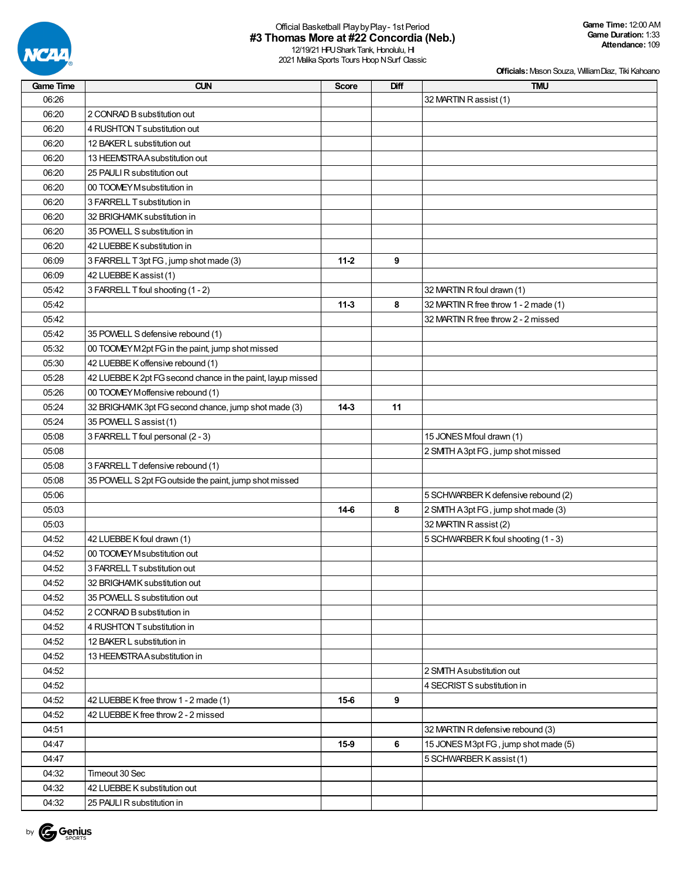

12/19/21 HPU Shark Tank, Honolulu, HI 2021 Malika Sports Tours Hoop N Surf Classic

| <b>Game Time</b> | <b>CUN</b>                                                  | <b>Score</b> | Diff | <b>TMU</b>                            |
|------------------|-------------------------------------------------------------|--------------|------|---------------------------------------|
| 06:26            |                                                             |              |      | 32 MARTIN R assist (1)                |
| 06:20            | 2 CONRAD B substitution out                                 |              |      |                                       |
| 06:20            | 4 RUSHTON T substitution out                                |              |      |                                       |
| 06:20            | 12 BAKER L substitution out                                 |              |      |                                       |
| 06:20            | 13 HEEMSTRA A substitution out                              |              |      |                                       |
| 06:20            | 25 PAULI R substitution out                                 |              |      |                                       |
| 06:20            | 00 TOOMEY M substitution in                                 |              |      |                                       |
| 06:20            | 3 FARRELL T substitution in                                 |              |      |                                       |
| 06:20            | 32 BRIGHAMK substitution in                                 |              |      |                                       |
| 06:20            | 35 POWELL S substitution in                                 |              |      |                                       |
| 06:20            | 42 LUEBBE K substitution in                                 |              |      |                                       |
| 06:09            | 3 FARRELL T 3pt FG, jump shot made (3)                      | $11-2$       | 9    |                                       |
| 06:09            | 42 LUEBBE K assist (1)                                      |              |      |                                       |
| 05:42            | 3 FARRELL T foul shooting (1 - 2)                           |              |      | 32 MARTIN R foul drawn (1)            |
| 05:42            |                                                             | $11-3$       | 8    | 32 MARTIN R free throw 1 - 2 made (1) |
| 05:42            |                                                             |              |      | 32 MARTIN R free throw 2 - 2 missed   |
| 05:42            | 35 POWELL S defensive rebound (1)                           |              |      |                                       |
| 05:32            | 00 TOOMEY M2pt FG in the paint, jump shot missed            |              |      |                                       |
| 05:30            | 42 LUEBBE K offensive rebound (1)                           |              |      |                                       |
| 05:28            | 42 LUEBBE K 2pt FG second chance in the paint, layup missed |              |      |                                       |
| 05:26            | 00 TOOMEY Moffensive rebound (1)                            |              |      |                                       |
| 05:24            | 32 BRIGHAMK 3pt FG second chance, jump shot made (3)        | 14-3         | 11   |                                       |
| 05:24            | 35 POWELL S assist (1)                                      |              |      |                                       |
| 05:08            | 3 FARRELL T foul personal (2 - 3)                           |              |      | 15 JONES Mfoul drawn (1)              |
| 05:08            |                                                             |              |      | 2 SMTH A3pt FG, jump shot missed      |
| 05:08            | 3 FARRELL T defensive rebound (1)                           |              |      |                                       |
| 05:08            | 35 POWELL S 2pt FG outside the paint, jump shot missed      |              |      |                                       |
| 05:06            |                                                             |              |      | 5 SCHWARBER K defensive rebound (2)   |
| 05:03            |                                                             | $14-6$       | 8    | 2 SMITH A 3pt FG, jump shot made (3)  |
| 05:03            |                                                             |              |      | 32 MARTIN R assist (2)                |
| 04:52            | 42 LUEBBE K foul drawn (1)                                  |              |      | 5 SCHWARBER K foul shooting (1 - 3)   |
| 04:52            | 00 TOOMEY M substitution out                                |              |      |                                       |
| 04:52            | 3 FARRELL T substitution out                                |              |      |                                       |
| 04:52            | 32 BRIGHAMK substitution out                                |              |      |                                       |
| 04:52            | 35 POWELL S substitution out                                |              |      |                                       |
| 04:52            | 2 CONRAD B substitution in                                  |              |      |                                       |
| 04:52            | 4 RUSHTON T substitution in                                 |              |      |                                       |
| 04:52            | 12 BAKER L substitution in                                  |              |      |                                       |
| 04:52            | 13 HEEMSTRAA substitution in                                |              |      |                                       |
| 04:52            |                                                             |              |      | 2 SMITH Asubstitution out             |
| 04:52            |                                                             |              |      | 4 SECRIST S substitution in           |
| 04:52            | 42 LUEBBE K free throw 1 - 2 made (1)                       | $15-6$       | 9    |                                       |
| 04:52            | 42 LUEBBE K free throw 2 - 2 missed                         |              |      |                                       |
| 04:51            |                                                             |              |      | 32 MARTIN R defensive rebound (3)     |
| 04:47            |                                                             | 15-9         | 6    | 15 JONES M3pt FG, jump shot made (5)  |
| 04:47            |                                                             |              |      | 5 SCHWARBER K assist (1)              |
| 04:32            | Timeout 30 Sec                                              |              |      |                                       |
| 04:32            | 42 LUEBBE K substitution out                                |              |      |                                       |
| 04:32            | 25 PAULI R substitution in                                  |              |      |                                       |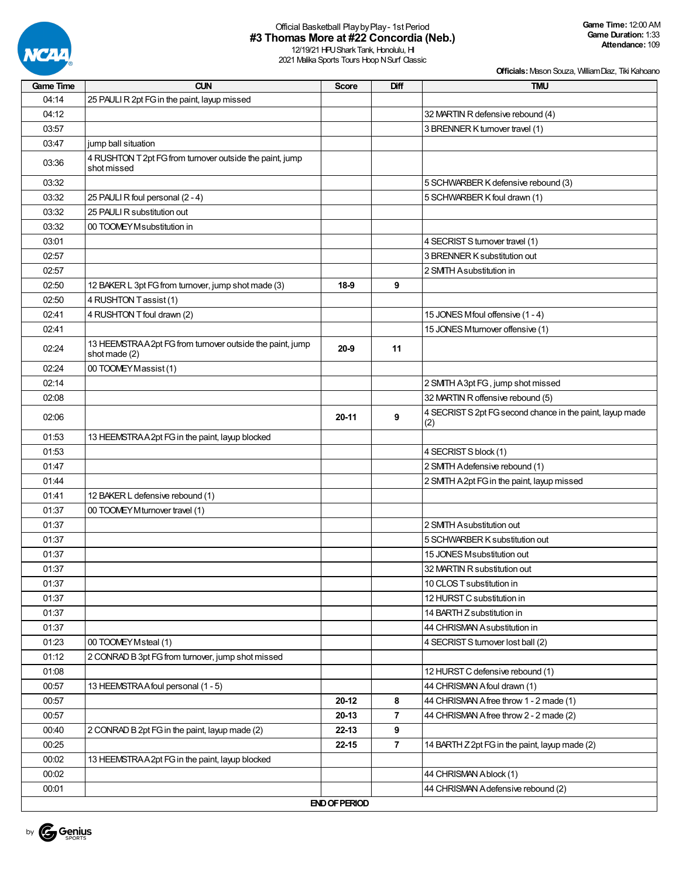

12/19/21 HPU Shark Tank, Honolulu, HI 2021 Malika Sports Tours Hoop N Surf Classic

| <b>Game Time</b> | <b>CUN</b>                                                                | <b>Score</b>         | Diff           | <b>TMU</b>                                                       |
|------------------|---------------------------------------------------------------------------|----------------------|----------------|------------------------------------------------------------------|
| 04:14            | 25 PAULI R 2pt FG in the paint, layup missed                              |                      |                |                                                                  |
| 04:12            |                                                                           |                      |                | 32 MARTIN R defensive rebound (4)                                |
| 03:57            |                                                                           |                      |                | 3 BRENNER K turnover travel (1)                                  |
| 03:47            | jump ball situation                                                       |                      |                |                                                                  |
| 03:36            | 4 RUSHTON T 2pt FG from turnover outside the paint, jump<br>shot missed   |                      |                |                                                                  |
| 03:32            |                                                                           |                      |                | 5 SCHWARBER K defensive rebound (3)                              |
| 03:32            | 25 PAULI R foul personal (2 - 4)                                          |                      |                | 5 SCHWARBER K foul drawn (1)                                     |
| 03:32            | 25 PAULI R substitution out                                               |                      |                |                                                                  |
| 03:32            | 00 TOOMEY Msubstitution in                                                |                      |                |                                                                  |
| 03:01            |                                                                           |                      |                | 4 SECRIST S turnover travel (1)                                  |
| 02:57            |                                                                           |                      |                | 3 BRENNER K substitution out                                     |
| 02:57            |                                                                           |                      |                | 2 SMITH Asubstitution in                                         |
| 02:50            | 12 BAKER L 3pt FG from turnover, jump shot made (3)                       | $18-9$               | 9              |                                                                  |
| 02:50            | 4 RUSHTON Tassist (1)                                                     |                      |                |                                                                  |
| 02:41            | 4 RUSHTON T foul drawn (2)                                                |                      |                | 15 JONES Mfoul offensive (1 - 4)                                 |
| 02:41            |                                                                           |                      |                | 15 JONES Mturnover offensive (1)                                 |
| 02:24            | 13 HEEMSTRAA2pt FG from turnover outside the paint, jump<br>shot made (2) | $20 - 9$             | 11             |                                                                  |
| 02:24            | 00 TOOMEY Massist (1)                                                     |                      |                |                                                                  |
| 02:14            |                                                                           |                      |                | 2 SMTH A3pt FG, jump shot missed                                 |
| 02:08            |                                                                           |                      |                | 32 MARTIN R offensive rebound (5)                                |
| 02:06            |                                                                           | 20-11                | 9              | 4 SECRIST S 2pt FG second chance in the paint, layup made<br>(2) |
| 01:53            | 13 HEEMSTRA A 2pt FG in the paint, layup blocked                          |                      |                |                                                                  |
| 01:53            |                                                                           |                      |                | 4 SECRIST S block (1)                                            |
| 01:47            |                                                                           |                      |                | 2 SMTH Adefensive rebound (1)                                    |
| 01:44            |                                                                           |                      |                | 2 SMTH A2pt FG in the paint, layup missed                        |
| 01:41            | 12 BAKER L defensive rebound (1)                                          |                      |                |                                                                  |
| 01:37            | 00 TOOMEY M turnover travel (1)                                           |                      |                |                                                                  |
| 01:37            |                                                                           |                      |                | 2 SMITH Asubstitution out                                        |
| 01:37            |                                                                           |                      |                | 5 SCHWARBER K substitution out                                   |
| 01:37            |                                                                           |                      |                | 15 JONES M substitution out                                      |
| 01:37            |                                                                           |                      |                | 32 MARTIN R substitution out                                     |
| 01:37            |                                                                           |                      |                | 10 CLOS T substitution in                                        |
| 01:37            |                                                                           |                      |                | 12 HURST C substitution in                                       |
| 01:37            |                                                                           |                      |                | 14 BARTH Z substitution in                                       |
| 01:37            |                                                                           |                      |                | 44 CHRISMAN A substitution in                                    |
| 01:23            | 00 TOOMEY Msteal (1)                                                      |                      |                | 4 SECRIST S turnover lost ball (2)                               |
| 01:12            | 2 CONRAD B 3pt FG from turnover, jump shot missed                         |                      |                |                                                                  |
| 01:08            |                                                                           |                      |                | 12 HURST C defensive rebound (1)                                 |
| 00:57            | 13 HEEMSTRA A foul personal (1 - 5)                                       |                      |                | 44 CHRISMAN A foul drawn (1)                                     |
| 00:57            |                                                                           | 20-12                | 8              | 44 CHRISMAN Afree throw 1 - 2 made (1)                           |
| 00:57            |                                                                           | $20-13$              | $\overline{7}$ | 44 CHRISMAN Afree throw 2 - 2 made (2)                           |
| 00:40            | 2 CONRAD B 2pt FG in the paint, layup made (2)                            | $22 - 13$            | 9              |                                                                  |
| 00:25            |                                                                           | $22 - 15$            | $\overline{7}$ | 14 BARTH Z 2pt FG in the paint, layup made (2)                   |
| 00:02            | 13 HEEMSTRAA2pt FG in the paint, layup blocked                            |                      |                |                                                                  |
| 00:02            |                                                                           |                      |                | 44 CHRISMAN Ablock (1)                                           |
| 00:01            |                                                                           |                      |                | 44 CHRISMAN A defensive rebound (2)                              |
|                  |                                                                           | <b>END OF PERIOD</b> |                |                                                                  |

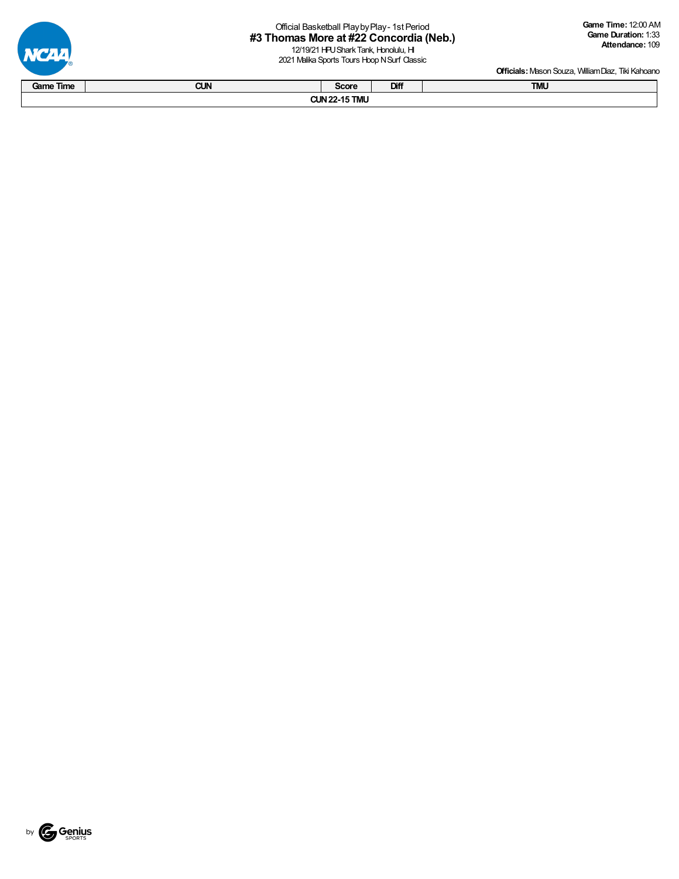12/19/21 HPU Shark Tank, Honolulu, HI 2021 Malika Sports Tours Hoop N Surf Classic



**Officials:** Mason Souza, William Diaz, Tiki Kahoano

|           |            |                      |      | Chronol. Massin Couza, Villiam Diaz, Tilly I failteath of |
|-----------|------------|----------------------|------|-----------------------------------------------------------|
| Game Time | <b>CUN</b> | Score                | Diff | <b>TMU</b>                                                |
|           |            | <b>CUN 22-15 TMU</b> |      |                                                           |



**VCAA**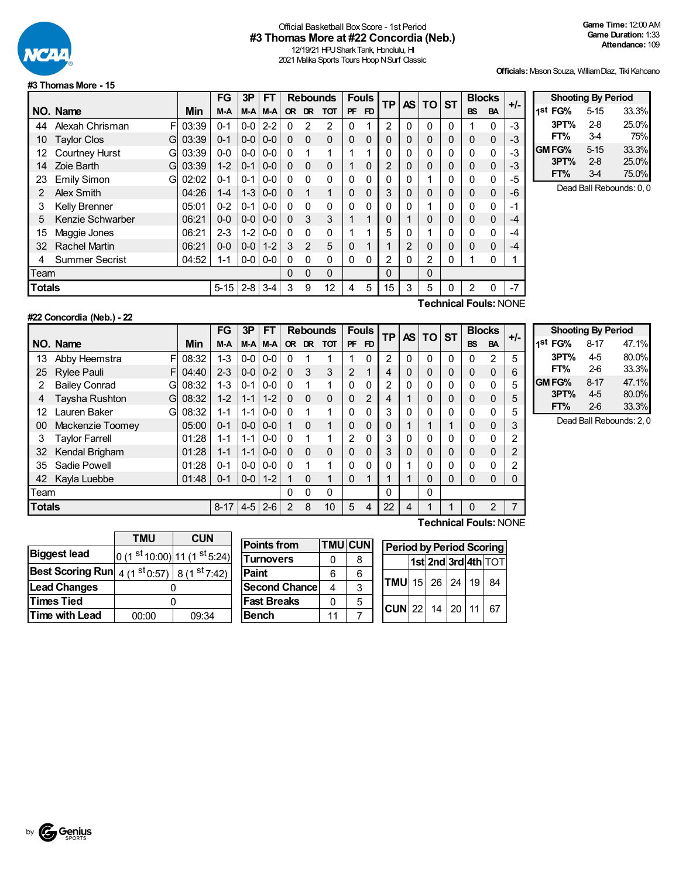

## Official Basketball BoxScore - 1st Period **#3 Thomas More at #22 Concordia (Neb.)**

12/19/21 HPU Shark Tank, Honolulu, HI 2021 Malika Sports Tours Hoop N Surf Classic

**FT%** 3-4 75%

**FT%** 3-4 75.0%

**Officials:**Mason Souza, WilliamDiaz, Tiki Kahoano

**Shooting By Period 1 st FG%** 5-15 33.3% **3PT%** 2-8 25.0%

**GMFG%** 5-15 33.3% **3PT%** 2-8 25.0%

Dead Ball Rebounds: 0, 0

#### **#3 ThomasMore - 15**

|                            |                                   | FG       | 3P      | FT      |                  |                |              |                 |                |              |                |     |          |                             |           | $+/-$         |
|----------------------------|-----------------------------------|----------|---------|---------|------------------|----------------|--------------|-----------------|----------------|--------------|----------------|-----|----------|-----------------------------|-----------|---------------|
|                            | Min                               | M-A      | $M-A$   | M-A     | <b>OR</b>        | DR.            | тот          | <b>PF</b>       | F <sub>D</sub> |              |                |     |          | <b>BS</b>                   | <b>BA</b> |               |
| Alexah Chrisman<br>F       | 03:39                             | $0 - 1$  | $0 - 0$ | $2 - 2$ | 0                | 2              | 2            | 0               |                | 2            | 0              | 0   | 0        |                             | 0         | $-3$          |
| <b>Taylor Clos</b><br>G    | 03:39                             | $0 - 1$  | $0-0$   | $0-0$   | $\Omega$         | $\Omega$       | $\Omega$     | $\Omega$        | 0              | 0            | 0              | 0   | 0        | $\Omega$                    | 0         | -3            |
| <b>Courtney Hurst</b><br>G | 03:39                             | $0 - 0$  |         | $0 - 0$ | 0                | 1              | 1            |                 | 1              | 0            | 0              | 0   |          | 0                           | 0         | $-3$          |
| Zoie Barth<br>G            | 03:39                             | $1 - 2$  | $0 - 1$ | $0-0$   | $\Omega$         | $\Omega$       | $\Omega$     | 1               | $\Omega$       | 2            | 0              | 0   | $\Omega$ | 0                           | 0         | -3            |
| <b>Emily Simon</b><br>G    | 02:02                             | $0 - 1$  | $0 - 1$ | $0-0$   | 0                | $\Omega$       | $\mathbf{0}$ | $\Omega$        | 0              | 0            | 0              |     | $\Omega$ | 0                           | 0         | -5            |
| Alex Smith                 | 04:26                             | $1 - 4$  | $1 - 3$ | $0-0$   | $\Omega$         | 1              | 1            | 0               | 0              | 3            | 0              | 0   | 0        | $\Omega$                    | 0         | -6            |
| <b>Kelly Brenner</b>       | 05:01                             | $0 - 2$  | $0 - 1$ | $0-0$   | $\Omega$         | $\Omega$       | $\Omega$     | $\Omega$        | 0              | 0            | 0              |     | 0        | 0                           | 0         | $-1$          |
| Kenzie Schwarber           | 06:21                             | $0 - 0$  | $0 - 0$ | $0 - 0$ | $\Omega$         | 3              | 3            | 1               | 1              | 0            |                | 0   |          | 0                           | 0         | $-4$          |
| Maggie Jones               | 06:21                             | $2 - 3$  | $1 - 2$ | $0-0$   | 0                | 0              | 0            | 1               | 1              | 5            | 0              |     | $\Omega$ | 0                           | 0         | -4            |
| <b>Rachel Martin</b>       | 06:21                             | $0 - 0$  | $0 - 0$ | $1 - 2$ | 3                | $\mathfrak{p}$ | 5            | 0               | 1              |              | $\overline{2}$ | 0   |          | $\Omega$                    | $\Omega$  | $-4$          |
| <b>Summer Secrist</b>      | 04:52                             | $1 - 1$  |         | $0-0$   | 0                | $\Omega$       | $\Omega$     | 0               | 0              | 2            | 0              | 2   | 0        |                             | 0         | 1             |
|                            |                                   |          |         |         | 0                | $\Omega$       | $\Omega$     |                 |                | 0            |                | 0   |          |                             |           |               |
|                            |                                   | $5 - 15$ | $2 - 8$ | $3 - 4$ | 3                | 9              | 12           | 4               | 5              | 15           | 3              | 5   |          | 2                           | U         | $-7$          |
|                            | NO. Name<br>Team<br><b>Totals</b> |          |         |         | $0-0$<br>$0 - 0$ |                |              | <b>Rebounds</b> |                | <b>Fouls</b> | <b>TP</b>      | AS. |          | <b>ST</b><br><b>TO</b><br>- | -         | <b>Blocks</b> |



**Technical Fouls:**NONE

|                         |                                   | FG          | 3P      | FT      |              |           |            |                 |                |              |             |                 |   |           |           | $+/-$         |
|-------------------------|-----------------------------------|-------------|---------|---------|--------------|-----------|------------|-----------------|----------------|--------------|-------------|-----------------|---|-----------|-----------|---------------|
|                         | Min                               | M-A         | M-A     | M-A     | <b>OR</b>    | <b>DR</b> | <b>TOT</b> | <b>PF</b>       | F <sub>D</sub> |              |             |                 |   | <b>BS</b> | <b>BA</b> |               |
| F<br>Abby Heemstra      | 08:32                             | $1 - 3$     | $0-0$   | $0-0$   | 0            |           |            |                 | 0              | 2            | 0           | 0               | 0 | 0         | 2         | 5             |
| <b>Rylee Pauli</b><br>F | 04:40                             | $2 - 3$     | $0 - 0$ | $0 - 2$ | $\Omega$     | 3         | 3          | 2               | 1              | 4            | 0           | 0               | 0 | 0         | $\Omega$  | 6             |
| <b>Bailey Conrad</b>    | 08:32                             | $1 - 3$     | $0 - 1$ | $0-0$   | $\Omega$     |           | 1          | $\Omega$        | 0              | 2            | $\Omega$    | 0               | 0 | 0         | $\Omega$  | 5             |
| Taysha Rushton          | 08:32                             | $1 - 2$     | $1 - 1$ | $1 - 2$ | $\mathbf{0}$ | $\Omega$  | $\Omega$   | $\Omega$        | $\overline{2}$ | 4            | 1           | 0               | 0 | 0         | $\Omega$  | 5             |
| Lauren Baker            | 08:32                             | $1 - 1$     | $1 - 1$ |         | $\Omega$     |           | 1          | 0               | $\Omega$       | 3            | $\Omega$    | 0               | 0 | 0         | $\Omega$  | 5             |
| Mackenzie Toomey        | 05:00                             | $0 - 1$     | $0-0$   | $0 - 0$ |              | $\Omega$  | 1          | $\Omega$        | $\Omega$       | $\Omega$     | и           |                 | 1 | 0         | $\Omega$  | 3             |
| <b>Taylor Farrell</b>   | 01:28                             | $1 - 1$     | $1 - 1$ | $0-0$   | 0            |           | 1          | 2               | $\Omega$       | 3            | $\mathbf 0$ | 0               | 0 | 0         | 0         | 2             |
| Kendal Brigham          | 01:28                             | $1 - 1$     | $1 - 1$ | $0 - 0$ | $\Omega$     | $\Omega$  | $\Omega$   | $\Omega$        | $\Omega$       | 3            | 0           | 0               | 0 | $\Omega$  | $\Omega$  | 2             |
| Sadie Powell            | 01:28                             | $0 - 1$     | $0-0$   | $0-0$   | $\Omega$     |           | 1          | 0               | 0              | 0            | 4           | 0               | 0 | 0         | 0         | 2             |
| Kayla Luebbe            | 01:48                             | $0 - 1$     | $0-0$   | $1 - 2$ |              | $\Omega$  | 1          | $\Omega$        | 1              |              | -1          | $\Omega$        | 0 | 0         | 0         | 0             |
|                         |                                   |             |         |         | 0            | $\Omega$  | 0          |                 |                | $\Omega$     |             | 0               |   |           |           |               |
|                         |                                   | $8 - 17$    | $4 - 5$ | $2-6$   | 2            | 8         | 10         | 5               | 4              | 22           | 4           |                 | 1 | $\Omega$  | 2         |               |
|                         | NO. Name<br>Team<br><b>Totals</b> | G<br>G<br>G |         |         | $0-0$        |           |            | <b>Rebounds</b> |                | <b>Fouls</b> |             | TP <sub>I</sub> |   | AS TO ST  |           | <b>Blocks</b> |

|         | <b>Shooting By Period</b> |       |
|---------|---------------------------|-------|
| 1st FG% | $8 - 17$                  | 47.1% |
| 3PT%    | 4-5                       | 80.0% |
| FT%     | 2-6                       | 33.3% |
| GM FG%  | $8 - 17$                  | 47.1% |
| 3PT%    | 45                        | 80.0% |
| FT%     | $2-6$                     | 33.3% |

Dead Ball Rebounds: 2, 0

|                         | <b>TMU</b>                                                                    | <b>CUN</b> |  |  |  |  |
|-------------------------|-------------------------------------------------------------------------------|------------|--|--|--|--|
| <b>Biggest lead</b>     | $0(1st10:00) 11(1st5:24) $                                                    |            |  |  |  |  |
| <b>Best Scoring Run</b> | 4 (1 $\frac{\text{st}}{\text{0.57}}$ ) 8 (1 $\frac{\text{st}}{\text{7.42}}$ ) |            |  |  |  |  |
| <b>Lead Changes</b>     |                                                                               |            |  |  |  |  |
| <b>Times Tied</b>       |                                                                               |            |  |  |  |  |
| <b>Time with Lead</b>   | 00:00<br>09:34                                                                |            |  |  |  |  |

| <b>Points from</b>   | <b>TMU CUN</b> |   |
|----------------------|----------------|---|
| <b>Turnovers</b>     | 0              | 8 |
| Paint                | հ              | 6 |
| <b>Second Chance</b> |                | 3 |
| <b>Fast Breaks</b>   |                | 5 |
| <b>Bench</b>         |                |   |

| <b>Period by Period Scoring</b> |                     |  |  |  |    |  |  |  |  |  |  |
|---------------------------------|---------------------|--|--|--|----|--|--|--|--|--|--|
|                                 | 1st 2nd 3rd 4th TOT |  |  |  |    |  |  |  |  |  |  |
| <b>TMU</b> 15 26 24 19 84       |                     |  |  |  |    |  |  |  |  |  |  |
| $CUN$ 22 14 20 11               |                     |  |  |  | 67 |  |  |  |  |  |  |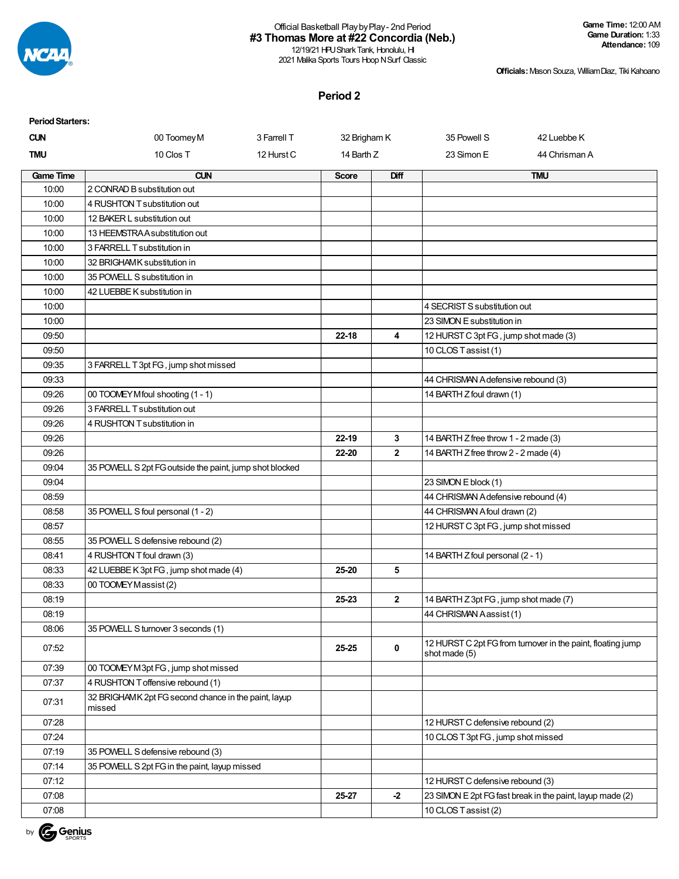

12/19/21 HPU Shark Tank, Honolulu, HI 2021 Malika Sports Tours Hoop N Surf Classic **Game Time:** 12:00 AM **Game Duration:** 1:33 **Attendance:** 109

**Officials:**Mason Souza, WilliamDiaz, Tiki Kahoano

## **Period 2**

| <b>Period Starters:</b> |                                                                |             |              |                |                                       |                                                             |
|-------------------------|----------------------------------------------------------------|-------------|--------------|----------------|---------------------------------------|-------------------------------------------------------------|
| <b>CUN</b>              | 00 Toomey M                                                    | 3 Farrell T | 32 Brigham K |                | 35 Powell S                           | 42 Luebbe K                                                 |
| <b>TMU</b>              | 10 Clos T                                                      | 12 Hurst C  | 14 Barth Z   |                | 23 Simon E                            | 44 Chrisman A                                               |
| <b>Game Time</b>        | <b>CUN</b>                                                     |             | <b>Score</b> | Diff           |                                       | <b>TMU</b>                                                  |
| 10:00                   | 2 CONRAD B substitution out                                    |             |              |                |                                       |                                                             |
| 10:00                   | 4 RUSHTON T substitution out                                   |             |              |                |                                       |                                                             |
| 10:00                   | 12 BAKER L substitution out                                    |             |              |                |                                       |                                                             |
| 10:00                   | 13 HEEMSTRA A substitution out                                 |             |              |                |                                       |                                                             |
| 10:00                   | 3 FARRELL T substitution in                                    |             |              |                |                                       |                                                             |
| 10:00                   | 32 BRIGHAMK substitution in                                    |             |              |                |                                       |                                                             |
| 10:00                   | 35 POWELL S substitution in                                    |             |              |                |                                       |                                                             |
| 10:00                   | 42 LUEBBE K substitution in                                    |             |              |                |                                       |                                                             |
| 10:00                   |                                                                |             |              |                | 4 SECRIST S substitution out          |                                                             |
| 10:00                   |                                                                |             |              |                | 23 SIMON E substitution in            |                                                             |
| 09:50                   |                                                                |             | $22 - 18$    | 4              | 12 HURST C 3pt FG, jump shot made (3) |                                                             |
| 09:50                   |                                                                |             |              |                | 10 CLOS Tassist (1)                   |                                                             |
| 09:35                   | 3 FARRELL T 3pt FG, jump shot missed                           |             |              |                |                                       |                                                             |
| 09:33                   |                                                                |             |              |                | 44 CHRISMAN A defensive rebound (3)   |                                                             |
| 09:26                   | 00 TOOMEY Mfoul shooting (1 - 1)                               |             |              |                | 14 BARTH Z foul drawn (1)             |                                                             |
| 09:26                   | 3 FARRELL T substitution out                                   |             |              |                |                                       |                                                             |
| 09:26                   | 4 RUSHTON T substitution in                                    |             |              |                |                                       |                                                             |
| 09:26                   |                                                                |             | 22-19        | 3              | 14 BARTH Z free throw 1 - 2 made (3)  |                                                             |
| 09:26                   |                                                                |             | 22-20        | $\overline{2}$ | 14 BARTH Z free throw 2 - 2 made (4)  |                                                             |
| 09:04                   | 35 POWELL S 2pt FG outside the paint, jump shot blocked        |             |              |                |                                       |                                                             |
| 09:04                   |                                                                |             |              |                | 23 SIMON E block (1)                  |                                                             |
| 08:59                   |                                                                |             |              |                | 44 CHRISMAN A defensive rebound (4)   |                                                             |
| 08:58                   | 35 POWELL S foul personal (1 - 2)                              |             |              |                | 44 CHRISMAN A foul drawn (2)          |                                                             |
| 08:57                   |                                                                |             |              |                | 12 HURST C 3pt FG, jump shot missed   |                                                             |
| 08:55                   | 35 POWELL S defensive rebound (2)                              |             |              |                |                                       |                                                             |
| 08:41                   | 4 RUSHTON T foul drawn (3)                                     |             |              |                | 14 BARTH Z foul personal (2 - 1)      |                                                             |
| 08:33                   | 42 LUEBBE K 3pt FG, jump shot made (4)                         |             | 25-20        | 5              |                                       |                                                             |
| 08:33                   | 00 TOOMEY Massist (2)                                          |             |              |                |                                       |                                                             |
| 08:19                   |                                                                |             | 25-23        | $\mathbf{2}$   | 14 BARTH Z 3pt FG, jump shot made (7) |                                                             |
| 08:19                   |                                                                |             |              |                | 44 CHRISMAN Aassist (1)               |                                                             |
| 08:06                   | 35 POWELL S turnover 3 seconds (1)                             |             |              |                |                                       |                                                             |
| 07:52                   |                                                                |             | 25-25        | $\mathbf 0$    | shot made (5)                         | 12 HURST C 2pt FG from turnover in the paint, floating jump |
| 07:39                   | 00 TOOMEY M3pt FG, jump shot missed                            |             |              |                |                                       |                                                             |
| 07:37                   | 4 RUSHTON T offensive rebound (1)                              |             |              |                |                                       |                                                             |
| 07:31                   | 32 BRIGHAMK 2pt FG second chance in the paint, layup<br>missed |             |              |                |                                       |                                                             |
| 07:28                   |                                                                |             |              |                | 12 HURST C defensive rebound (2)      |                                                             |
| 07:24                   |                                                                |             |              |                | 10 CLOS T 3pt FG, jump shot missed    |                                                             |
| 07:19                   | 35 POWELL S defensive rebound (3)                              |             |              |                |                                       |                                                             |
| 07:14                   | 35 POWELL S 2pt FG in the paint, layup missed                  |             |              |                |                                       |                                                             |
| 07:12                   |                                                                |             |              |                | 12 HURST C defensive rebound (3)      |                                                             |
| 07:08                   |                                                                |             | 25-27        | $-2$           |                                       | 23 SIMON E 2pt FG fast break in the paint, layup made (2)   |
| 07:08                   |                                                                |             |              |                | 10 CLOS Tassist (2)                   |                                                             |

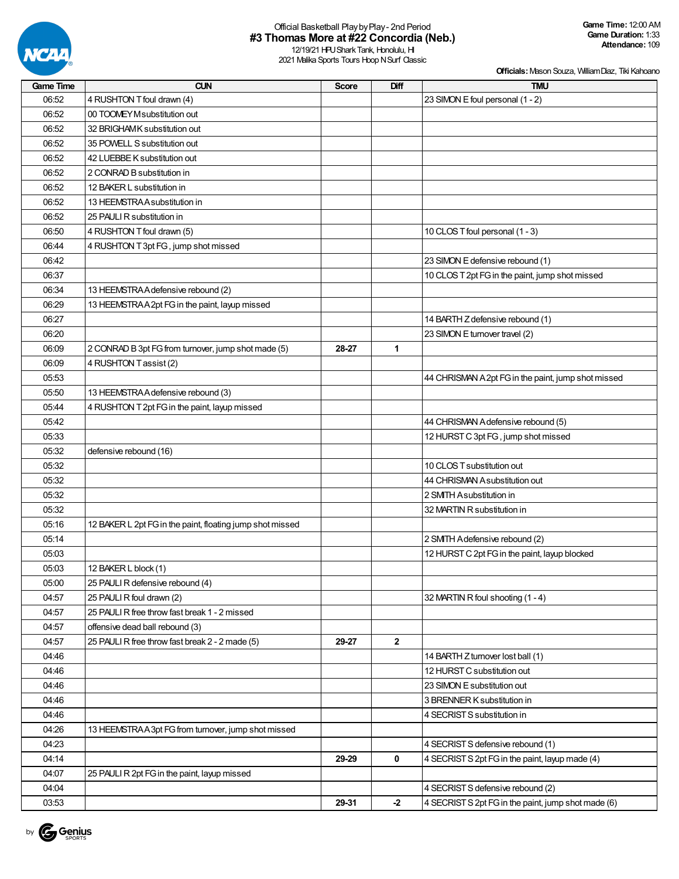

| <b>Game Time</b> | <b>CUN</b>                                                | <b>Score</b> | Diff         | <b>TMU</b>                                          |
|------------------|-----------------------------------------------------------|--------------|--------------|-----------------------------------------------------|
| 06:52            | 4 RUSHTON T foul drawn (4)                                |              |              | 23 SIMON E foul personal (1 - 2)                    |
| 06:52            | 00 TOOMEY Msubstitution out                               |              |              |                                                     |
| 06:52            | 32 BRIGHAMK substitution out                              |              |              |                                                     |
| 06:52            | 35 POWELL S substitution out                              |              |              |                                                     |
| 06:52            | 42 LUEBBE K substitution out                              |              |              |                                                     |
| 06:52            | 2 CONRAD B substitution in                                |              |              |                                                     |
| 06:52            | 12 BAKER L substitution in                                |              |              |                                                     |
| 06:52            | 13 HEEMSTRAA substitution in                              |              |              |                                                     |
| 06:52            | 25 PAULI R substitution in                                |              |              |                                                     |
| 06:50            | 4 RUSHTON T foul drawn (5)                                |              |              | 10 CLOS T foul personal (1 - 3)                     |
| 06:44            | 4 RUSHTON T 3pt FG, jump shot missed                      |              |              |                                                     |
| 06:42            |                                                           |              |              | 23 SIMON E defensive rebound (1)                    |
| 06:37            |                                                           |              |              | 10 CLOS T 2pt FG in the paint, jump shot missed     |
| 06:34            | 13 HEEMSTRA A defensive rebound (2)                       |              |              |                                                     |
| 06:29            | 13 HEEMSTRAA2pt FG in the paint, layup missed             |              |              |                                                     |
| 06:27            |                                                           |              |              | 14 BARTH Z defensive rebound (1)                    |
| 06:20            |                                                           |              |              | 23 SIMON E turnover travel (2)                      |
| 06:09            | 2 CONRAD B 3pt FG from turnover, jump shot made (5)       | 28-27        | 1            |                                                     |
| 06:09            | 4 RUSHTON Tassist (2)                                     |              |              |                                                     |
| 05:53            |                                                           |              |              | 44 CHRISMAN A 2pt FG in the paint, jump shot missed |
| 05:50            | 13 HEEMSTRA A defensive rebound (3)                       |              |              |                                                     |
| 05:44            | 4 RUSHTON T 2pt FG in the paint, layup missed             |              |              |                                                     |
| 05:42            |                                                           |              |              | 44 CHRISMAN A defensive rebound (5)                 |
| 05:33            |                                                           |              |              | 12 HURST C 3pt FG, jump shot missed                 |
| 05:32            | defensive rebound (16)                                    |              |              |                                                     |
| 05:32            |                                                           |              |              | 10 CLOS T substitution out                          |
| 05:32            |                                                           |              |              | 44 CHRISMAN A substitution out                      |
| 05:32            |                                                           |              |              | 2 SMITH Asubstitution in                            |
| 05:32            |                                                           |              |              | 32 MARTIN R substitution in                         |
| 05:16            | 12 BAKER L 2pt FG in the paint, floating jump shot missed |              |              |                                                     |
| 05:14            |                                                           |              |              | 2 SMTH Adefensive rebound (2)                       |
| 05:03            |                                                           |              |              | 12 HURST C 2pt FG in the paint, layup blocked       |
| 05:03            | 12 BAKER L block (1)                                      |              |              |                                                     |
| 05:00            | 25 PAULI R defensive rebound (4)                          |              |              |                                                     |
| 04:57            | 25 PAULI R foul drawn (2)                                 |              |              | 32 MARTIN R foul shooting (1 - 4)                   |
| 04:57            | 25 PAULI R free throw fast break 1 - 2 missed             |              |              |                                                     |
| 04:57            | offensive dead ball rebound (3)                           |              |              |                                                     |
| 04:57            | 25 PAULI R free throw fast break 2 - 2 made (5)           | 29-27        | $\mathbf{2}$ |                                                     |
| 04:46            |                                                           |              |              | 14 BARTH Z turnover lost ball (1)                   |
| 04:46            |                                                           |              |              | 12 HURST C substitution out                         |
| 04:46            |                                                           |              |              | 23 SIMON E substitution out                         |
| 04:46            |                                                           |              |              | 3 BRENNER K substitution in                         |
| 04:46            |                                                           |              |              | 4 SECRIST S substitution in                         |
| 04:26            | 13 HEEMSTRAA3pt FG from turnover, jump shot missed        |              |              |                                                     |
| 04:23            |                                                           |              |              | 4 SECRIST S defensive rebound (1)                   |
| 04:14            |                                                           | 29-29        | 0            | 4 SECRIST S 2pt FG in the paint, layup made (4)     |
| 04:07            | 25 PAULI R 2pt FG in the paint, layup missed              |              |              |                                                     |
| 04:04            |                                                           |              |              | 4 SECRIST S defensive rebound (2)                   |
| 03:53            |                                                           | 29-31        | $-2$         | 4 SECRIST S 2pt FG in the paint, jump shot made (6) |

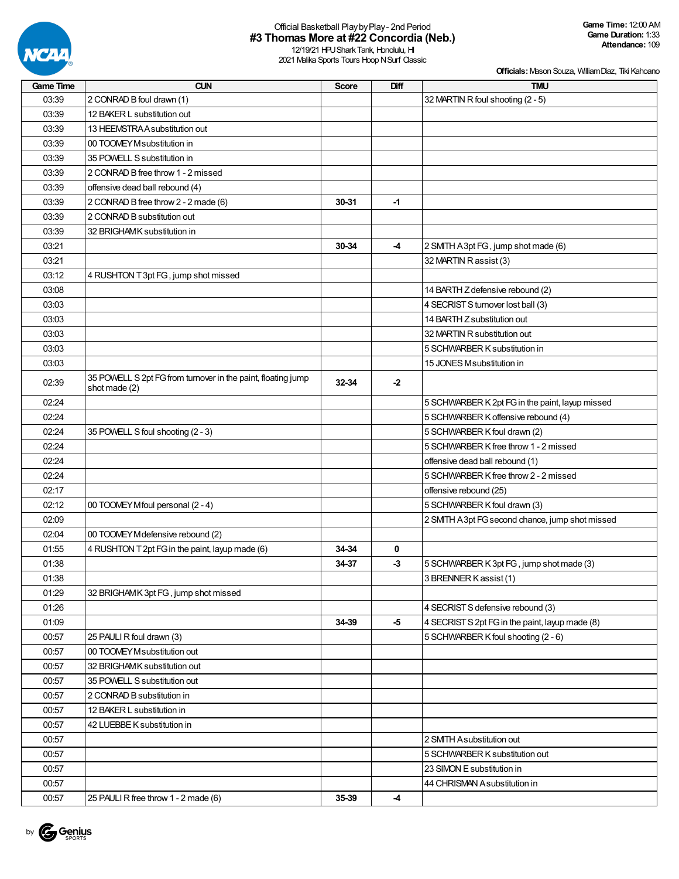

| Game Time | <b>CUN</b>                                                   | <b>Score</b> | Diff                     | <b>TMU</b>                                      |
|-----------|--------------------------------------------------------------|--------------|--------------------------|-------------------------------------------------|
| 03:39     | 2 CONRAD B foul drawn (1)                                    |              |                          | 32 MARTIN R foul shooting (2 - 5)               |
| 03:39     | 12 BAKER L substitution out                                  |              |                          |                                                 |
| 03:39     | 13 HEEMSTRA A substitution out                               |              |                          |                                                 |
| 03:39     | 00 TOOMEY M substitution in                                  |              |                          |                                                 |
| 03:39     | 35 POWELL S substitution in                                  |              |                          |                                                 |
| 03:39     | 2 CONRAD B free throw 1 - 2 missed                           |              |                          |                                                 |
| 03:39     | offensive dead ball rebound (4)                              |              |                          |                                                 |
| 03:39     | 2 CONRAD B free throw 2 - 2 made (6)                         | 30-31        | -1                       |                                                 |
| 03:39     | 2 CONRAD B substitution out                                  |              |                          |                                                 |
| 03:39     | 32 BRIGHAMK substitution in                                  |              |                          |                                                 |
| 03:21     |                                                              | 30-34        | -4                       | 2 SMITH A 3pt FG, jump shot made (6)            |
| 03:21     |                                                              |              |                          | 32 MARTIN R assist (3)                          |
| 03:12     | 4 RUSHTON T 3pt FG, jump shot missed                         |              |                          |                                                 |
| 03:08     |                                                              |              |                          | 14 BARTH Z defensive rebound (2)                |
| 03:03     |                                                              |              |                          | 4 SECRIST S turnover lost ball (3)              |
| 03:03     |                                                              |              |                          | 14 BARTH Z substitution out                     |
| 03:03     |                                                              |              |                          | 32 MARTIN R substitution out                    |
| 03:03     |                                                              |              |                          | 5 SCHWARBER K substitution in                   |
| 03:03     |                                                              |              |                          | 15 JONES Msubstitution in                       |
| 02:39     | 35 POWELL S 2pt FG from turnover in the paint, floating jump | 32-34        |                          |                                                 |
|           | shot made (2)                                                |              | $-2$                     |                                                 |
| 02:24     |                                                              |              |                          | 5 SCHWARBER K 2pt FG in the paint, layup missed |
| 02:24     |                                                              |              |                          | 5 SCHWARBER K offensive rebound (4)             |
| 02:24     | 35 POWELL S foul shooting (2 - 3)                            |              |                          | 5 SCHWARBER K foul drawn (2)                    |
| 02:24     |                                                              |              |                          | 5 SCHWARBER K free throw 1 - 2 missed           |
| 02:24     |                                                              |              |                          | offensive dead ball rebound (1)                 |
| 02:24     |                                                              |              |                          | 5 SCHWARBER K free throw 2 - 2 missed           |
| 02:17     |                                                              |              |                          | offensive rebound (25)                          |
| 02:12     | 00 TOOMEY Mfoul personal (2 - 4)                             |              |                          | 5 SCHWARBER K foul drawn (3)                    |
| 02:09     |                                                              |              |                          | 2 SMTH A 3pt FG second chance, jump shot missed |
| 02:04     | 00 TOOMEY M defensive rebound (2)                            |              |                          |                                                 |
| 01:55     | 4 RUSHTON T 2pt FG in the paint, layup made (6)              | 34-34        | 0                        |                                                 |
| 01:38     |                                                              | 34-37        | $-3$                     | 5 SCHWARBER K 3pt FG, jump shot made (3)        |
| 01:38     |                                                              |              |                          | 3 BRENNER K assist (1)                          |
| 01:29     | 32 BRIGHAMK 3pt FG, jump shot missed                         |              |                          |                                                 |
| 01:26     |                                                              |              |                          | 4 SECRIST S defensive rebound (3)               |
| 01:09     |                                                              | 34-39        | -5                       | 4 SECRIST S 2pt FG in the paint, layup made (8) |
| 00:57     | 25 PAULI R foul drawn (3)                                    |              |                          | 5 SCHWARBER K foul shooting (2 - 6)             |
| 00:57     | 00 TOOMEY M substitution out                                 |              |                          |                                                 |
| 00:57     | 32 BRIGHAM K substitution out                                |              |                          |                                                 |
| 00:57     | 35 POWELL S substitution out                                 |              |                          |                                                 |
| 00:57     | 2 CONRAD B substitution in                                   |              |                          |                                                 |
| 00:57     | 12 BAKER L substitution in                                   |              |                          |                                                 |
| 00:57     | 42 LUEBBE K substitution in                                  |              |                          |                                                 |
| 00:57     |                                                              |              |                          | 2 SMITH Asubstitution out                       |
| 00:57     |                                                              |              |                          | 5 SCHWARBER K substitution out                  |
| 00:57     |                                                              |              |                          | 23 SIMON E substitution in                      |
| 00:57     |                                                              |              |                          | 44 CHRISMAN Asubstitution in                    |
| 00:57     | 25 PAULI R free throw 1 - 2 made (6)                         | 35-39        | $\overline{\mathcal{A}}$ |                                                 |

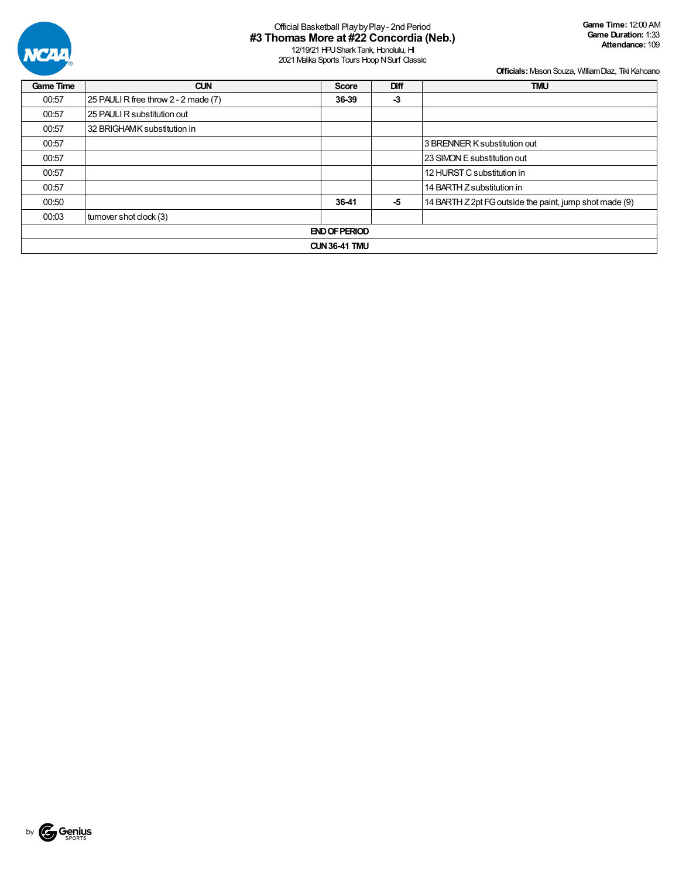

12/19/21 HPU Shark Tank, Honolulu, HI 2021 Malika Sports Tours Hoop N Surf Classic

| <b>Game Time</b>     | <b>CUN</b>                           | <b>Score</b> | Diff | <b>TMU</b>                                              |  |  |  |  |  |
|----------------------|--------------------------------------|--------------|------|---------------------------------------------------------|--|--|--|--|--|
| 00:57                | 25 PAULI R free throw 2 - 2 made (7) | 36-39        | $-3$ |                                                         |  |  |  |  |  |
| 00:57                | 25 PAULI R substitution out          |              |      |                                                         |  |  |  |  |  |
| 00:57                | 32 BRIGHAMK substitution in          |              |      |                                                         |  |  |  |  |  |
| 00:57                | 3 BRENNER K substitution out         |              |      |                                                         |  |  |  |  |  |
| 00:57                |                                      |              |      | 23 SIMON E substitution out                             |  |  |  |  |  |
| 00:57                |                                      |              |      | 12 HURST C substitution in                              |  |  |  |  |  |
| 00:57                |                                      |              |      | 14 BARTH Z substitution in                              |  |  |  |  |  |
| 00:50                |                                      | 36-41<br>-5  |      | 14 BARTH Z 2pt FG outside the paint, jump shot made (9) |  |  |  |  |  |
| 00:03                | turnover shot clock (3)              |              |      |                                                         |  |  |  |  |  |
| <b>END OF PERIOD</b> |                                      |              |      |                                                         |  |  |  |  |  |
|                      | <b>CUN 36-41 TMU</b>                 |              |      |                                                         |  |  |  |  |  |

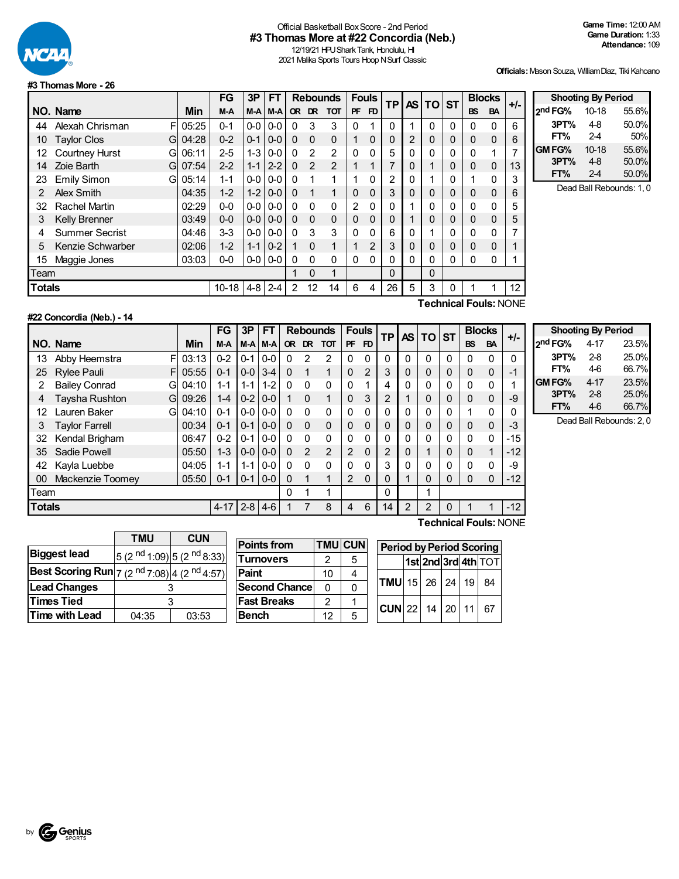

### Official Basketball BoxScore - 2nd Period **#3 Thomas More at #22 Concordia (Neb.)**

12/19/21 HPU Shark Tank, Honolulu, HI 2021 Malika Sports Tours Hoop N Surf Classic

**FT%** 2-4 50%

**FT%** 2-4 50.0%

**Officials:**Mason Souza, WilliamDiaz, Tiki Kahoano

**Shooting By Period 2 nd FG%** 10-18 55.6% **3PT%** 4-8 50.0%

**GMFG%** 10-18 55.6% **3PT%** 4-8 50.0%

Dead Ball Rebounds: 1, 0

#### **#3 ThomasMore - 26**

|               |                            |            | FG        | 3P      | FT      |              |                | <b>Rebounds</b> |           | <b>Fouls</b>   | ΤP             | <b>AS</b> | <b>TO</b>   | <b>ST</b> | <b>Blocks</b> |           | +/- |
|---------------|----------------------------|------------|-----------|---------|---------|--------------|----------------|-----------------|-----------|----------------|----------------|-----------|-------------|-----------|---------------|-----------|-----|
|               | NO. Name                   | <b>Min</b> | M-A       | M-A     | M-A     | <b>OR</b>    | DR             | <b>TOT</b>      | <b>PF</b> | FD             |                |           |             |           | <b>BS</b>     | <b>BA</b> |     |
| 44            | Alexah Chrisman<br>FI      | 05:25      | $0 - 1$   | $0-0$   | $0-0$   | 0            | 3              | 3               | 0         |                | 0              |           | 0           | 0         | 0             | 0         | 6   |
| 10            | <b>Taylor Clos</b><br>Gl   | 04:28      | $0 - 2$   | $0 - 1$ | $0-0$   | $\Omega$     | $\Omega$       | $\mathbf 0$     |           | $\mathbf 0$    | 0              | 2         | 0           | 0         | $\mathbf 0$   | 0         | 6   |
| 12            | <b>Courtney Hurst</b><br>G | 06:11      | $2 - 5$   | $1 - 3$ | $0 - 0$ | $\mathbf{0}$ | $\overline{2}$ | $\overline{2}$  | $\Omega$  | 0              | 5              | 0         | $\Omega$    | 0         | $\mathbf{0}$  |           | 7   |
| 14            | Zoie Barth<br>G            | 07:54      | $2 - 2$   | $1 - 1$ | $2 - 2$ | $\Omega$     | $\overline{2}$ | 2               |           | 1              | 7              | 0         | 1           | 0         | $\Omega$      | $\Omega$  | 13  |
| 23            | <b>Emily Simon</b><br>G    | 05:14      | $1 - 1$   | $0-0$   | $0-0$   | $\Omega$     | 1              | 1               |           | 0              | $\overline{2}$ | 0         | 1           | 0         |               | 0         | 3   |
| 2             | Alex Smith                 | 04:35      | $1 - 2$   | $1 - 2$ | $0 - 0$ | $\Omega$     | $\mathbf{1}$   | 1               | $\Omega$  | $\Omega$       | 3              | 0         | 0           | 0         | 0             | 0         | 6   |
| 32            | <b>Rachel Martin</b>       | 02:29      | $0-0$     | $0-0$   | $0-0$   | $\mathbf{0}$ | $\Omega$       | $\mathbf{0}$    | 2         | 0              | 0              |           | 0           | 0         | $\Omega$      | $\Omega$  | 5   |
| 3             | <b>Kelly Brenner</b>       | 03:49      | $0-0$     | $0-0$   | $0 - 0$ | $\Omega$     | $\Omega$       | $\Omega$        | $\Omega$  | 0              | 0              |           | 0           | 0         | 0             | $\Omega$  | 5   |
| 4             | <b>Summer Secrist</b>      | 04:46      | $3 - 3$   | $0-0$   | $0 - 0$ | $\Omega$     | 3              | 3               | $\Omega$  | 0              | 6              | 0         | 1           | 0         | 0             | 0         | 7   |
| 5             | Kenzie Schwarber           | 02:06      | $1 - 2$   | $1 - 1$ | $0 - 2$ |              | $\Omega$       | 1               |           | $\overline{2}$ | 3              | 0         | 0           | 0         | 0             | $\Omega$  |     |
| 15            | Maggie Jones               | 03:03      | 0-0       | $0-0$   | $0-0$   | $\mathbf{0}$ | $\Omega$       | 0               | 0         | 0              | 0              | 0         | 0           | 0         | 0             | 0         |     |
| Team          |                            |            |           |         |         |              | 0              | 1               |           |                | 0              |           | $\mathbf 0$ |           |               |           |     |
| <b>Totals</b> |                            |            | $10 - 18$ | 4-8     | $2 - 4$ | 2            | 12             | 14              | 6         | 4              | 26             | 5         | 3           | 0         |               |           | 12  |

#### **#22 Concordia (Neb.) - 14**

**Technical Fouls:**NONE

|        |                             |       | FG       | 3P      | FТ      |              |           | <b>Rebounds</b> |          | <b>Fouls</b> | <b>TP</b> | AS I           | TO ST           |              | <b>Blocks</b> |              | $+/-$    |  |
|--------|-----------------------------|-------|----------|---------|---------|--------------|-----------|-----------------|----------|--------------|-----------|----------------|-----------------|--------------|---------------|--------------|----------|--|
|        | NO. Name                    | Min   | $M-A$    | $M-A$   | $M-A$   | <b>OR</b>    | <b>DR</b> | <b>TOT</b>      | PF       | <b>FD</b>    |           |                |                 |              | <b>BS</b>     | <b>BA</b>    |          |  |
| 13     | FI<br>Abby Heemstra         | 03:13 | $0 - 2$  | $0 - 1$ | $0-0$   | $\Omega$     | 2         | $\overline{2}$  | 0        | $\Omega$     | $\Omega$  | $\mathbf{0}$   | 0               | $\mathbf{0}$ | 0             | $\mathbf 0$  | 0        |  |
| 25     | <b>Rylee Pauli</b><br>FI    | 05:55 | $0 - 1$  | $0 - 0$ | $3 - 4$ | $\Omega$     | 1         | $\mathbf{1}$    | $\Omega$ | 2            | 3         |                | 0               | 0            | 0             | 0            | $-1$     |  |
|        | <b>Bailey Conrad</b><br>Gl  | 04:10 | $1 - 1$  | 1-1     | $1 - 2$ | $\mathbf{0}$ | $\Omega$  | 0               | $\Omega$ |              | 4         | $\Omega$       |                 | 0            | 0             | 0            |          |  |
| 4      | <b>Taysha Rushton</b><br>Gl | 09:26 | $1 - 4$  | $0 - 2$ | $0-0$   |              | $\Omega$  | $\mathbf{1}$    | $\Omega$ | 3            | 2         |                |                 | 0            | 0             | 0            | -9       |  |
| 12     | Lauren Baker<br>Gl          | 04:10 | $0 - 1$  | $0-0$   | $0 - 0$ | 0            | $\Omega$  | 0               | 0        | 0            |           |                | 0               | 0            |               | 0            | 0        |  |
| 3      | <b>Taylor Farrell</b>       | 00:34 | $0 - 1$  | $0 - 1$ | $0 - 0$ | $\Omega$     | $\Omega$  | 0               | $\Omega$ | 0            |           |                |                 | 0            | 0             | 0            | -3       |  |
| 32     | Kendal Brigham              | 06:47 | $0 - 2$  | $0 - 1$ | $0-0$   | $\Omega$     | $\Omega$  | 0               | $\Omega$ | 0            |           | 0              |                 | 0            | 0             | 0            | $-15$    |  |
| 35     | Sadie Powell                | 05:50 | $1 - 3$  | $0 - 0$ | $0 - 0$ | $\Omega$     | 2         | $\overline{2}$  | 2        | $\Omega$     | 2         |                |                 | 0            | 0             | $\mathbf{1}$ | $-12$    |  |
| 42     | Kayla Luebbe                | 04:05 | $1 - 1$  | 1-1     | $0-0$   | $\Omega$     | $\Omega$  | 0               | $\Omega$ | 0            | 3         |                |                 | 0            | 0             | 0            | -9       |  |
| 00     | Mackenzie Toomey            | 05:50 | $0 - 1$  | $0 - 1$ | $0-0$   | $\Omega$     | 1         | 1               | 2        | $\Omega$     |           |                | 0               | 0            | 0             | 0            | $-12$    |  |
| Team   |                             |       |          |         |         | 0            |           | 1               |          |              | $\Omega$  |                |                 |              |               |              |          |  |
| Totals |                             |       | $4 - 17$ | $2 - 8$ | $4-6$   |              |           | 8               | 4        | 6            | 14        | $\overline{2}$ | 2               | 0            |               |              | $-12$    |  |
|        |                             |       |          |         |         |              |           |                 |          |              |           |                | アントレッシュ にっぽんしょう |              |               |              | $\cdots$ |  |

| <b>Shooting By Period</b> |          |       |  |  |  |  |  |  |  |
|---------------------------|----------|-------|--|--|--|--|--|--|--|
| 2 <sup>nd</sup> FG%       | $4 - 17$ | 23.5% |  |  |  |  |  |  |  |
| 3PT%                      | $2-8$    | 25.0% |  |  |  |  |  |  |  |
| FT%                       | 46       | 66.7% |  |  |  |  |  |  |  |
| GM FG%                    | 4-17     | 23.5% |  |  |  |  |  |  |  |
| 3PT%                      | $2 - 8$  | 25.0% |  |  |  |  |  |  |  |
| FT%                       | 4-6      | 66.7% |  |  |  |  |  |  |  |

Dead Ball Rebounds: 2, 0

|                                                                             | <b>TMU</b> | <b>CUN</b>                                        |  |  |  |
|-----------------------------------------------------------------------------|------------|---------------------------------------------------|--|--|--|
| <b>Biggest lead</b>                                                         |            | 5 (2 <sup>nd</sup> 1:09) 5 (2 <sup>nd</sup> 8:33) |  |  |  |
| <b>Best Scoring Run</b> $ 7 (2 \text{ nd } 7:08) $ 4 (2 <sup>nd</sup> 4:57) |            |                                                   |  |  |  |
| <b>Lead Changes</b>                                                         |            |                                                   |  |  |  |
| <b>Times Tied</b>                                                           |            |                                                   |  |  |  |
| <b>Time with Lead</b>                                                       | 04:35      | 03:53                                             |  |  |  |

| <b>Points from</b>   |    | <b>TMU CUN</b> |
|----------------------|----|----------------|
| <b>Turnovers</b>     | 2  | 5              |
| Paint                | 10 |                |
| <b>Second Chance</b> |    | በ              |
| <b>Fast Breaks</b>   | 2  |                |
| <b>Bench</b>         | 12 | 5              |

| <b>Period by Period Scoring</b> |  |  |  |  |                     |  |  |  |  |  |
|---------------------------------|--|--|--|--|---------------------|--|--|--|--|--|
|                                 |  |  |  |  | 1st 2nd 3rd 4th TOT |  |  |  |  |  |
| <b>TMU</b> 15 26 24 19 84       |  |  |  |  |                     |  |  |  |  |  |
| $ CUN $ 22   14   20   11       |  |  |  |  | 67                  |  |  |  |  |  |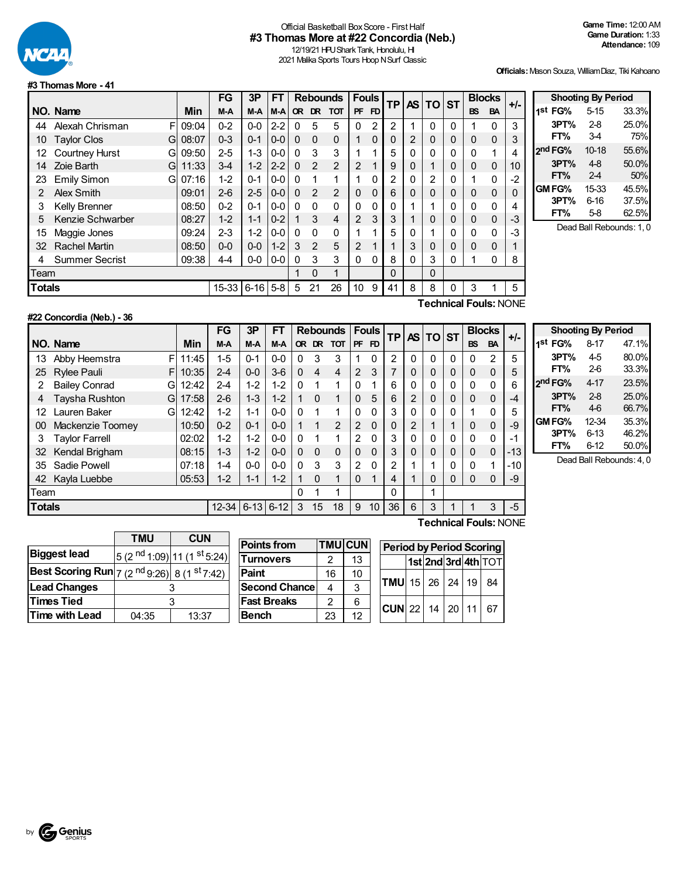

## Official Basketball Box Score - First Half **#3 Thomas More at #22 Concordia (Neb.)**

12/19/21 HPU Shark Tank, Honolulu, HI 2021 Malika Sports Tours Hoop N Surf Classic

**Officials:**Mason Souza, WilliamDiaz, Tiki Kahoano

#### **#3 ThomasMore - 41**

|               |                            |            | FG        | 3P       | FT      | <b>Rebounds</b> |                | <b>Fouls</b>   |                | <b>TP</b>      |    | <b>AS TO ST</b> |          | <b>Blocks</b> |                       | +/-       |    |
|---------------|----------------------------|------------|-----------|----------|---------|-----------------|----------------|----------------|----------------|----------------|----|-----------------|----------|---------------|-----------------------|-----------|----|
|               | NO. Name                   | <b>Min</b> | M-A       | M-A      | M-A     | <b>OR</b>       | DR.            | <b>TOT</b>     | <b>PF</b>      | FD.            |    |                 |          |               | <b>BS</b>             | <b>BA</b> |    |
| 44            | Alexah Chrisman<br>F       | 09:04      | $0 - 2$   | $0 - 0$  | $2 - 2$ | 0               | 5              | 5              | 0              | $\overline{2}$ | 2  |                 | $\Omega$ | 0             |                       | 0         | 3  |
| 10            | <b>Taylor Clos</b><br>G    | 08:07      | $0 - 3$   | $0 - 1$  | $0 - 0$ | $\Omega$        | $\Omega$       | $\Omega$       |                | 0              | 0  | 2               | 0        | 0             | 0                     | 0         | 3  |
| 12            | <b>Courtney Hurst</b><br>G | 09:50      | $2 - 5$   | $1 - 3$  | $0 - 0$ | $\Omega$        | 3              | 3              |                | 1              | 5  | 0               | O        | 0             | 0                     | 1         |    |
| 14            | Zoie Barth<br>G            | 11:33      | $3-4$     | $1 - 2$  | $2 - 2$ | $\Omega$        | $\overline{2}$ | $\overline{2}$ | 2              |                | 9  | 0               |          | 0             | 0                     | 0         | 10 |
| 23            | <b>Emily Simon</b><br>G    | 07:16      | $1 - 2$   | $0 - 1$  | $0-0$   | $\Omega$        | 1              | 1              |                | 0              | 2  | $\Omega$        | 2        | 0             |                       | 0         | -2 |
| 2             | Alex Smith                 | 09:01      | $2-6$     | $2 - 5$  | $0-0$   | $\mathbf{0}$    | 2              | $\overline{2}$ | $\Omega$       | 0              | 6  | 0               | 0        | 0             | 0                     | 0         | 0  |
| 3             | Kelly Brenner              | 08:50      | $0 - 2$   | $0 - 1$  | $0 - 0$ | $\Omega$        | 0              | $\Omega$       | 0              | 0              | 0  |                 |          | 0             | 0                     | 0         |    |
| 5             | Kenzie Schwarber           | 08:27      | $1 - 2$   | $1 - 1$  | $0 - 2$ |                 | 3              | $\overline{4}$ | $\overline{2}$ | 3              | 3  |                 | 0        | 0             | 0                     | 0         | -3 |
| 15            | Maggie Jones               | 09:24      | $2 - 3$   | $1 - 2$  | $0-0$   | $\Omega$        | 0              | 0              |                | 4              | 5  | 0               |          | 0             | 0                     | 0         | -3 |
| 32            | <b>Rachel Martin</b>       | 08:50      | $0 - 0$   | $0 - 0$  | $1 - 2$ | 3               | $\mathfrak{p}$ | 5              | 2              |                |    | 3               | 0        | 0             | 0                     | 0         |    |
| 4             | <b>Summer Secrist</b>      | 09:38      | $4 - 4$   | $0-0$    | $0-0$   | 0               | 3              | 3              | 0              | 0              | 8  | 0               | 3        | 0             |                       | 0         | 8  |
| Team          |                            |            |           |          |         | 1               | $\Omega$       | 1              |                |                | 0  |                 | $\Omega$ |               |                       |           |    |
| <b>Totals</b> |                            |            | $15 - 33$ | $6 - 16$ | $5 - 8$ | 5               | 21             | 26             | 10             | 9              | 41 | 8               | 8        | 0             | 3                     |           | 5  |
|               |                            |            |           |          |         |                 |                |                |                |                |    |                 |          |               | Technical Faula: NONE |           |    |

|                         |                     | <b>Shooting By Period</b> |                          |  |  |  |  |  |  |  |  |  |  |  |
|-------------------------|---------------------|---------------------------|--------------------------|--|--|--|--|--|--|--|--|--|--|--|
| I-                      | 1 <sup>st</sup> FG% | $5 - 15$                  | 33.3%                    |  |  |  |  |  |  |  |  |  |  |  |
| $\overline{\mathbf{3}}$ | 3PT%                | $2 - 8$                   | 25.0%                    |  |  |  |  |  |  |  |  |  |  |  |
| 3                       | FT%                 | $3-4$                     | 75%                      |  |  |  |  |  |  |  |  |  |  |  |
| 4                       | 2 <sup>nd</sup> FG% | $10-18$                   | 55.6%                    |  |  |  |  |  |  |  |  |  |  |  |
| 0                       | 3PT%                | $4 - 8$                   | 50.0%                    |  |  |  |  |  |  |  |  |  |  |  |
| $\overline{c}$          | FT%                 | $2-4$                     | 50%                      |  |  |  |  |  |  |  |  |  |  |  |
| C                       | <b>GM FG%</b>       | 15-33                     | 45.5%                    |  |  |  |  |  |  |  |  |  |  |  |
| 4                       | 3PT%                | 6-16                      | 37.5%                    |  |  |  |  |  |  |  |  |  |  |  |
| 3                       | FT%                 | $5-8$                     | 62.5%                    |  |  |  |  |  |  |  |  |  |  |  |
| c                       |                     |                           | Dead Ball Rebounds: 1, 0 |  |  |  |  |  |  |  |  |  |  |  |

# **#22 Concordia (Neb.) - 36**

**Technical Fouls:**NONE

|               |                           |       | FG                | 3P      | FТ      | <b>Rebounds</b> |          | <b>Fouls</b> |                | <b>TP</b> |    | <b>ASITOIST</b> |   |     | <b>Blocks</b> | +/-       |                             |
|---------------|---------------------------|-------|-------------------|---------|---------|-----------------|----------|--------------|----------------|-----------|----|-----------------|---|-----|---------------|-----------|-----------------------------|
|               | NO. Name                  | Min   | M-A               | M-A     | M-A     |                 | OR DR    | тот          |                | PF FD     |    |                 |   |     | <b>BS</b>     | <b>BA</b> |                             |
| 13            | F<br>Abby Heemstra        | 11:45 | $1 - 5$           | $0 - 1$ | $0 - 0$ | 0               | 3        | 3            |                | 0         | 2  | 0               | 0 | 0   | $\mathbf{0}$  | 2         | 5                           |
| 25            | <b>Rylee Pauli</b><br>F   | 10:35 | $2 - 4$           | $0 - 0$ | $3-6$   | $\Omega$        | 4        | 4            | 2              | 3         | 7  | 0               | 0 | 0   | 0             | 0         | 5                           |
| 2             | <b>Bailey Conrad</b><br>G | 12:42 | $2 - 4$           | $1 - 2$ | $1 - 2$ | $\Omega$        |          | 1            | 0              |           | 6  | 0               | 0 | 0   | 0             | 0         | 6                           |
|               | Taysha Rushton<br>G       | 17:58 | $2-6$             | $1 - 3$ | $1 - 2$ |                 | $\Omega$ | 1            | $\Omega$       | 5         | 6  | $\overline{2}$  | 0 | 0   | $\Omega$      | 0         | -4                          |
| 12            | Lauren Baker<br>G         | 12:42 | $1 - 2$           | $1 - 1$ | $0 - 0$ | $\Omega$        |          | 1            | 0              | 0         | 3  | 0               | 0 | 0   |               | 0         | 5                           |
| 00            | Mackenzie Toomey          | 10:50 | $0 - 2$           | $0 - 1$ | $0 - 0$ |                 |          | 2            | 2              | $\Omega$  | 0  | 2               |   |     | 0             | 0         | -9                          |
| 3             | <b>Taylor Farrell</b>     | 02:02 | $1-2$             | $1 - 2$ | $0 - 0$ | $\Omega$        |          | 1            | $\overline{2}$ | $\Omega$  | 3  | 0               | 0 | 0   | 0             | $\Omega$  | -1                          |
| 32            | Kendal Brigham            | 08:15 | $1 - 3$           | $1 - 2$ | $0 - 0$ | $\mathbf{0}$    | $\Omega$ | $\mathbf 0$  | 0              | $\Omega$  | 3  | 0               | 0 | 0   | 0             | $\Omega$  | $-13$                       |
| 35            | Sadie Powell              | 07:18 | $1 - 4$           | $0-0$   | $0 - 0$ | $\Omega$        | 3        | 3            | $\overline{2}$ | $\Omega$  | 2  |                 | 4 | 0   | $\Omega$      | 1         | $-10$                       |
| 42            | Kayla Luebbe              | 05:53 | $1 - 2$           | $1 - 1$ | $1 - 2$ |                 | $\Omega$ | 1            | $\Omega$       |           | 4  |                 | 0 | 0   | $\Omega$      | $\Omega$  | -9                          |
| Team          |                           |       |                   |         |         | $\Omega$        |          | 1            |                |           | 0  |                 | 1 |     |               |           |                             |
| <b>Totals</b> |                           |       | $12-34$ 6-13 6-12 |         |         | 3               | 15       | 18           | 9              | 10        | 36 | 6               | 3 |     |               | 3         | $-5$                        |
|               |                           |       |                   |         |         |                 |          |              |                |           |    |                 | — | . . | - -           |           | $\sim$ $\sim$ $\sim$ $\sim$ |

|                     | <b>Shooting By Period</b> |       |
|---------------------|---------------------------|-------|
| 1 <sup>st</sup> FG% | $8 - 17$                  | 47.1% |
| 3PT%                | 45                        | 80.0% |
| FT%                 | 2-6                       | 33.3% |
| 2nd FG%             | 4-17                      | 23.5% |
| 3PT%                | $2-8$                     | 25.0% |
| FT%                 | 4-6                       | 66.7% |
| GM FG%              | 12-34                     | 35.3% |
| 3PT%                | $6 - 13$                  | 46.2% |
| FT%                 | $6 - 12$                  | 50.0% |

Dead Ball Rebounds: 4, 0

|                                                                           | <b>TMU</b> | <b>CUN</b>                                         |  |  |  |  |
|---------------------------------------------------------------------------|------------|----------------------------------------------------|--|--|--|--|
| <b>Biggest lead</b>                                                       |            | 5 (2 <sup>nd</sup> 1:09) 11 (1 <sup>st</sup> 5:24) |  |  |  |  |
| <b>Best Scoring Run</b> $ 7 (2 \text{ nd } 9.26)  8 (1 \text{ st } 7.42)$ |            |                                                    |  |  |  |  |
| <b>Lead Changes</b>                                                       |            |                                                    |  |  |  |  |
| <b>Times Tied</b>                                                         |            |                                                    |  |  |  |  |
| <b>Time with Lead</b>                                                     | 04:35      | 13:37                                              |  |  |  |  |

| <b>Points from</b>   |    | <b>TMU CUN</b> |
|----------------------|----|----------------|
| <b>Turnovers</b>     | 2  | 13             |
| Paint                | 16 | 10             |
| <b>Second Chance</b> | 4  | 3              |
| <b>Fast Breaks</b>   | 2  | 6              |
| <b>Bench</b>         | 23 | 12             |

| <b>Period by Period Scoring</b> |  |  |                     |  |  |
|---------------------------------|--|--|---------------------|--|--|
|                                 |  |  | 1st 2nd 3rd 4th TOT |  |  |
| <b>TMU</b> 15 26 24 19 84       |  |  |                     |  |  |
| $CUN$ 22 14 20 11               |  |  | 67                  |  |  |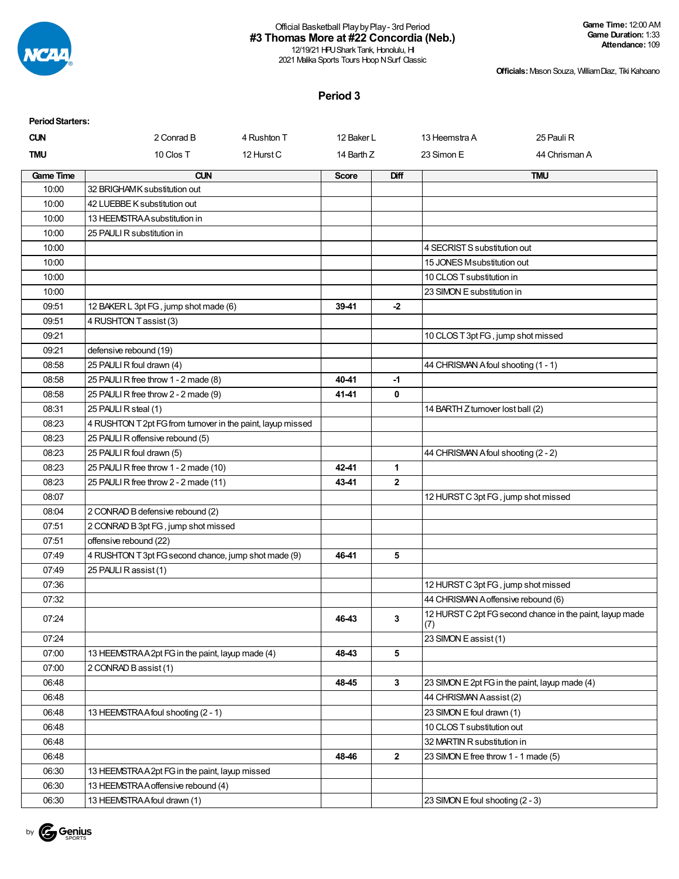

12/19/21 HPU Shark Tank, Honolulu, HI 2021 Malika Sports Tours Hoop N Surf Classic

**Officials:**Mason Souza, WilliamDiaz, Tiki Kahoano

#### **Period 3**

| <b>Period Starters:</b> |                                                             |             |              |                |                                                |                                                          |
|-------------------------|-------------------------------------------------------------|-------------|--------------|----------------|------------------------------------------------|----------------------------------------------------------|
| <b>CUN</b>              | 2 Conrad B                                                  | 4 Rushton T | 12 Baker L   |                | 13 Heemstra A                                  | 25 Pauli R                                               |
| <b>TMU</b>              | 10 Clos T                                                   | 12 Hurst C  | 14 Barth Z   |                | 23 Simon E                                     | 44 Chrisman A                                            |
| <b>Game Time</b>        | <b>CUN</b>                                                  |             | <b>Score</b> | <b>Diff</b>    |                                                | <b>TMU</b>                                               |
| 10:00                   | 32 BRIGHAMK substitution out                                |             |              |                |                                                |                                                          |
| 10:00                   | 42 LUEBBE K substitution out                                |             |              |                |                                                |                                                          |
| 10:00                   | 13 HEEMSTRAA substitution in                                |             |              |                |                                                |                                                          |
| 10:00                   | 25 PAULI R substitution in                                  |             |              |                |                                                |                                                          |
| 10:00                   |                                                             |             |              |                | 4 SECRIST S substitution out                   |                                                          |
| 10:00                   |                                                             |             |              |                | 15 JONES M substitution out                    |                                                          |
| 10:00                   |                                                             |             |              |                | 10 CLOS T substitution in                      |                                                          |
| 10:00                   |                                                             |             |              |                | 23 SIMON E substitution in                     |                                                          |
| 09:51                   | 12 BAKER L 3pt FG, jump shot made (6)                       |             | 39-41        | $-2$           |                                                |                                                          |
| 09:51                   | 4 RUSHTON Tassist (3)                                       |             |              |                |                                                |                                                          |
| 09:21                   |                                                             |             |              |                | 10 CLOS T 3pt FG, jump shot missed             |                                                          |
| 09:21                   | defensive rebound (19)                                      |             |              |                |                                                |                                                          |
| 08:58                   | 25 PAULI R foul drawn (4)                                   |             |              |                | 44 CHRISMAN Afoul shooting (1 - 1)             |                                                          |
| 08:58                   | 25 PAULI R free throw 1 - 2 made (8)                        |             | 40-41        | -1             |                                                |                                                          |
| 08:58                   | 25 PAULI R free throw 2 - 2 made (9)                        |             | 41-41        | 0              |                                                |                                                          |
| 08:31                   | 25 PAULI R steal (1)                                        |             |              |                | 14 BARTH Z turnover lost ball (2)              |                                                          |
| 08:23                   | 4 RUSHTON T 2pt FG from turnover in the paint, layup missed |             |              |                |                                                |                                                          |
| 08:23                   | 25 PAULI R offensive rebound (5)                            |             |              |                |                                                |                                                          |
| 08:23                   | 25 PAULI R foul drawn (5)                                   |             |              |                | 44 CHRISMAN Afoul shooting (2 - 2)             |                                                          |
| 08:23                   | 25 PAULI R free throw 1 - 2 made (10)                       |             | 42-41        | 1              |                                                |                                                          |
| 08:23                   | 25 PAULI R free throw 2 - 2 made (11)                       |             | 43-41        | $\overline{2}$ |                                                |                                                          |
| 08:07                   |                                                             |             |              |                | 12 HURST C 3pt FG, jump shot missed            |                                                          |
| 08:04                   | 2 CONRAD B defensive rebound (2)                            |             |              |                |                                                |                                                          |
| 07:51                   | 2 CONRAD B 3pt FG, jump shot missed                         |             |              |                |                                                |                                                          |
| 07:51                   | offensive rebound (22)                                      |             |              |                |                                                |                                                          |
| 07:49                   | 4 RUSHTON T 3pt FG second chance, jump shot made (9)        |             | 46-41        | 5              |                                                |                                                          |
| 07:49                   | 25 PAULI R assist (1)                                       |             |              |                |                                                |                                                          |
| 07:36                   |                                                             |             |              |                | 12 HURST C 3pt FG, jump shot missed            |                                                          |
| 07:32                   |                                                             |             |              |                | 44 CHRISMAN A offensive rebound (6)            |                                                          |
| 07:24                   |                                                             |             | 46-43        | 3              | (7)                                            | 12 HURST C 2pt FG second chance in the paint, layup made |
| 07:24                   |                                                             |             |              |                | 23 SIMON E assist (1)                          |                                                          |
| 07:00                   | 13 HEEMSTRAA2pt FG in the paint, layup made (4)             |             | 48-43        | 5              |                                                |                                                          |
| 07:00                   | 2 CONRAD B assist (1)                                       |             |              |                |                                                |                                                          |
| 06:48                   |                                                             |             | 48-45        | $\mathbf{3}$   | 23 SIMON E 2pt FG in the paint, layup made (4) |                                                          |
| 06:48                   |                                                             |             |              |                | 44 CHRISMAN Aassist (2)                        |                                                          |
| 06:48                   | 13 HEEMSTRA A foul shooting (2 - 1)                         |             |              |                | 23 SIMON E foul drawn (1)                      |                                                          |
| 06:48                   |                                                             |             |              |                | 10 CLOS T substitution out                     |                                                          |
| 06:48                   |                                                             |             |              |                | 32 MARTIN R substitution in                    |                                                          |
| 06:48                   |                                                             |             | 48-46        | $\overline{2}$ | 23 SIMON E free throw 1 - 1 made (5)           |                                                          |
| 06:30                   | 13 HEEMSTRAA2pt FG in the paint, layup missed               |             |              |                |                                                |                                                          |
| 06:30                   | 13 HEEMSTRA A offensive rebound (4)                         |             |              |                |                                                |                                                          |
| 06:30                   | 13 HEEMSTRA A foul drawn (1)                                |             |              |                | 23 SIMON E foul shooting (2 - 3)               |                                                          |

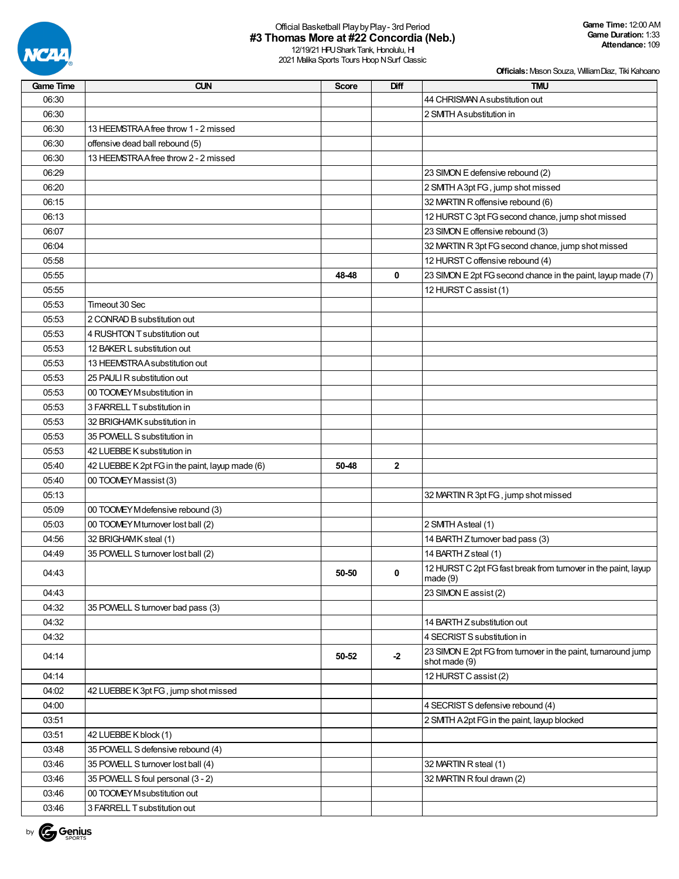

| <b>Game Time</b> | <b>CUN</b>                                      | <b>Score</b> | Diff         | <b>TMU</b>                                                                     |
|------------------|-------------------------------------------------|--------------|--------------|--------------------------------------------------------------------------------|
| 06:30            |                                                 |              |              | 44 CHRISMAN A substitution out                                                 |
| 06:30            |                                                 |              |              | 2 SMITH Asubstitution in                                                       |
| 06:30            | 13 HEEMSTRA A free throw 1 - 2 missed           |              |              |                                                                                |
| 06:30            | offensive dead ball rebound (5)                 |              |              |                                                                                |
| 06:30            | 13 HEEMSTRA A free throw 2 - 2 missed           |              |              |                                                                                |
| 06:29            |                                                 |              |              | 23 SIMON E defensive rebound (2)                                               |
| 06:20            |                                                 |              |              | 2 SMTH A 3pt FG, jump shot missed                                              |
| 06:15            |                                                 |              |              | 32 MARTIN R offensive rebound (6)                                              |
| 06:13            |                                                 |              |              | 12 HURST C 3pt FG second chance, jump shot missed                              |
| 06:07            |                                                 |              |              | 23 SIMON E offensive rebound (3)                                               |
| 06:04            |                                                 |              |              | 32 MARTIN R 3pt FG second chance, jump shot missed                             |
| 05:58            |                                                 |              |              | 12 HURST C offensive rebound (4)                                               |
| 05:55            |                                                 | 48-48        | 0            | 23 SIMON E 2pt FG second chance in the paint, layup made (7)                   |
| 05:55            |                                                 |              |              | 12 HURST C assist (1)                                                          |
| 05:53            | Timeout 30 Sec                                  |              |              |                                                                                |
| 05:53            | 2 CONRAD B substitution out                     |              |              |                                                                                |
| 05:53            | 4 RUSHTON T substitution out                    |              |              |                                                                                |
| 05:53            | 12 BAKER L substitution out                     |              |              |                                                                                |
| 05:53            | 13 HEEMSTRA A substitution out                  |              |              |                                                                                |
| 05:53            | 25 PAULI R substitution out                     |              |              |                                                                                |
| 05:53            | 00 TOOMEY M substitution in                     |              |              |                                                                                |
| 05:53            | 3 FARRELL T substitution in                     |              |              |                                                                                |
| 05:53            | 32 BRIGHAMK substitution in                     |              |              |                                                                                |
| 05:53            | 35 POWELL S substitution in                     |              |              |                                                                                |
| 05:53            | 42 LUEBBE K substitution in                     |              |              |                                                                                |
| 05:40            | 42 LUEBBE K 2pt FG in the paint, layup made (6) | 50-48        | $\mathbf{2}$ |                                                                                |
| 05:40            | 00 TOOMEY Massist (3)                           |              |              |                                                                                |
| 05:13            |                                                 |              |              | 32 MARTIN R 3pt FG, jump shot missed                                           |
| 05:09            | 00 TOOMEY M defensive rebound (3)               |              |              |                                                                                |
| 05:03            | 00 TOOMEY Mturnover lost ball (2)               |              |              | 2 SMTH Asteal (1)                                                              |
| 04:56            | 32 BRIGHAMK steal (1)                           |              |              | 14 BARTH Z turnover bad pass (3)                                               |
| 04:49            | 35 POWELL S turnover lost ball (2)              |              |              | 14 BARTH Z steal (1)                                                           |
| 04:43            |                                                 | 50-50        | 0            | 12 HURST C 2pt FG fast break from turnover in the paint, layup<br>made(9)      |
| 04:43            |                                                 |              |              | 23 SIMON E assist (2)                                                          |
| 04:32            | 35 POWELL S turnover bad pass (3)               |              |              |                                                                                |
| 04:32            |                                                 |              |              | 14 BARTH Z substitution out                                                    |
| 04:32            |                                                 |              |              | 4 SECRIST S substitution in                                                    |
| 04:14            |                                                 | 50-52        | $-2$         | 23 SIMON E 2pt FG from turnover in the paint, turnaround jump<br>shot made (9) |
| 04:14            |                                                 |              |              | 12 HURST C assist (2)                                                          |
| 04:02            | 42 LUEBBE K 3pt FG, jump shot missed            |              |              |                                                                                |
| 04:00            |                                                 |              |              | 4 SECRIST S defensive rebound (4)                                              |
| 03:51            |                                                 |              |              | 2 SMTH A 2pt FG in the paint, layup blocked                                    |
| 03:51            | 42 LUEBBE K block (1)                           |              |              |                                                                                |
| 03:48            | 35 POWELL S defensive rebound (4)               |              |              |                                                                                |
| 03:46            | 35 POWELL S turnover lost ball (4)              |              |              | 32 MARTIN R steal (1)                                                          |
| 03:46            | 35 POWELL S foul personal (3 - 2)               |              |              | 32 MARTIN R foul drawn (2)                                                     |
| 03:46            | 00 TOOMEY Msubstitution out                     |              |              |                                                                                |
| 03:46            | 3 FARRELL T substitution out                    |              |              |                                                                                |

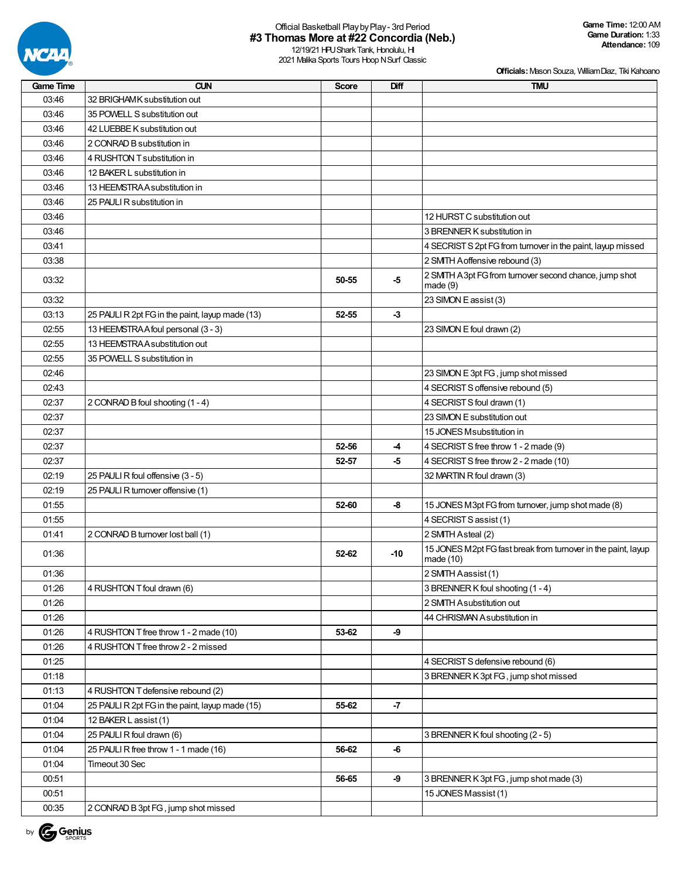

12/19/21 HPU Shark Tank, Honolulu, HI 2021 Malika Sports Tours Hoop N Surf Classic

| <b>Game Time</b> | <b>CUN</b>                                      | <b>Score</b> | Diff  | <b>TMU</b>                                                                   |
|------------------|-------------------------------------------------|--------------|-------|------------------------------------------------------------------------------|
| 03:46            | 32 BRIGHAMK substitution out                    |              |       |                                                                              |
| 03:46            | 35 POWELL S substitution out                    |              |       |                                                                              |
| 03:46            | 42 LUEBBE K substitution out                    |              |       |                                                                              |
| 03:46            | 2 CONRAD B substitution in                      |              |       |                                                                              |
| 03:46            | 4 RUSHTON T substitution in                     |              |       |                                                                              |
| 03:46            | 12 BAKER L substitution in                      |              |       |                                                                              |
| 03:46            | 13 HEEMSTRA A substitution in                   |              |       |                                                                              |
| 03:46            | 25 PAULI R substitution in                      |              |       |                                                                              |
| 03:46            |                                                 |              |       | 12 HURST C substitution out                                                  |
| 03:46            |                                                 |              |       | 3 BRENNER K substitution in                                                  |
| 03:41            |                                                 |              |       | 4 SECRIST S 2pt FG from turnover in the paint, layup missed                  |
| 03:38            |                                                 |              |       | 2 SMTH A offensive rebound (3)                                               |
| 03:32            |                                                 | 50-55        | $-5$  | 2 SMTH A 3pt FG from turnover second chance, jump shot<br>made(9)            |
| 03:32            |                                                 |              |       | 23 SIMON E assist (3)                                                        |
| 03:13            | 25 PAULI R 2pt FG in the paint, layup made (13) | 52-55        | $-3$  |                                                                              |
| 02:55            | 13 HEEMSTRA A foul personal (3 - 3)             |              |       | 23 SIMON E foul drawn (2)                                                    |
| 02:55            | 13 HEEMSTRA A substitution out                  |              |       |                                                                              |
| 02:55            | 35 POWELL S substitution in                     |              |       |                                                                              |
| 02:46            |                                                 |              |       | 23 SIMON E 3pt FG, jump shot missed                                          |
| 02:43            |                                                 |              |       | 4 SECRIST S offensive rebound (5)                                            |
| 02:37            | 2 CONRAD B foul shooting (1 - 4)                |              |       | 4 SECRIST S foul drawn (1)                                                   |
| 02:37            |                                                 |              |       | 23 SIMON E substitution out                                                  |
| 02:37            |                                                 |              |       | 15 JONES M substitution in                                                   |
| 02:37            |                                                 | 52-56        | -4    | 4 SECRIST S free throw 1 - 2 made (9)                                        |
| 02:37            |                                                 | 52-57        | -5    | 4 SECRIST S free throw 2 - 2 made (10)                                       |
| 02:19            | 25 PAULI R foul offensive (3 - 5)               |              |       | 32 MARTIN R foul drawn (3)                                                   |
| 02:19            | 25 PAULI R turnover offensive (1)               |              |       |                                                                              |
| 01:55            |                                                 | 52-60        | -8    | 15 JONES M3pt FG from turnover, jump shot made (8)                           |
| 01:55            |                                                 |              |       | 4 SECRIST S assist (1)                                                       |
| 01:41            | 2 CONRAD B turnover lost ball (1)               |              |       | 2 SMITH Asteal (2)                                                           |
| 01:36            |                                                 | 52-62        | $-10$ | 15 JONES M2pt FG fast break from turnover in the paint, layup<br>made $(10)$ |
| 01:36            |                                                 |              |       | 2 SMITH Aassist (1)                                                          |
| 01:26            | 4 RUSHTON T foul drawn (6)                      |              |       | 3 BRENNER K foul shooting (1 - 4)                                            |
| 01:26            |                                                 |              |       | 2 SMITH Asubstitution out                                                    |
| 01:26            |                                                 |              |       | 44 CHRISMAN Asubstitution in                                                 |
| 01:26            | 4 RUSHTON T free throw 1 - 2 made (10)          | 53-62        | -9    |                                                                              |
| 01:26            | 4 RUSHTON T free throw 2 - 2 missed             |              |       |                                                                              |
| 01:25            |                                                 |              |       | 4 SECRIST S defensive rebound (6)                                            |
| 01:18            |                                                 |              |       | 3 BRENNER K 3pt FG, jump shot missed                                         |
| 01:13            | 4 RUSHTON T defensive rebound (2)               |              |       |                                                                              |
| 01:04            | 25 PAULI R 2pt FG in the paint, layup made (15) | 55-62        | $-7$  |                                                                              |
| 01:04            | 12 BAKER L assist (1)                           |              |       |                                                                              |
| 01:04            | 25 PAULI R foul drawn (6)                       |              |       | 3 BRENNER K foul shooting (2 - 5)                                            |
| 01:04            | 25 PAULI R free throw 1 - 1 made (16)           | 56-62        | -6    |                                                                              |
| 01:04            | Timeout 30 Sec                                  |              |       |                                                                              |
| 00:51            |                                                 | 56-65        | -9    | 3 BRENNER K 3pt FG, jump shot made (3)                                       |
| 00:51            |                                                 |              |       | 15 JONES Massist (1)                                                         |
| 00:35            | 2 CONRAD B 3pt FG, jump shot missed             |              |       |                                                                              |

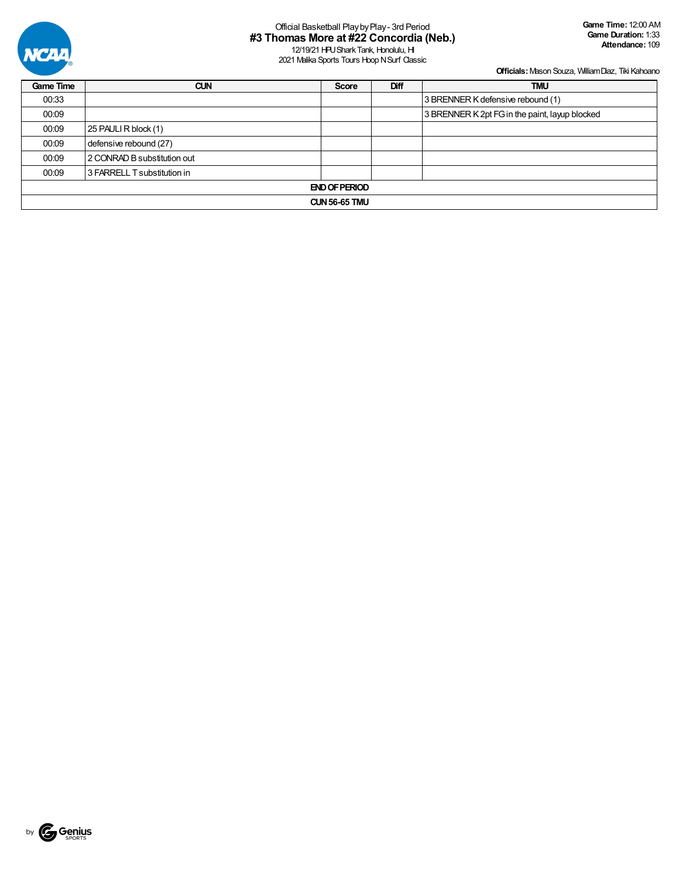

| <b>Game Time</b> | <b>CUN</b>                  | <b>Score</b> | Diff | <b>TMU</b>                                     |  |  |  |  |  |  |  |  |
|------------------|-----------------------------|--------------|------|------------------------------------------------|--|--|--|--|--|--|--|--|
| 00:33            |                             |              |      | 3 BRENNER K defensive rebound (1)              |  |  |  |  |  |  |  |  |
| 00:09            |                             |              |      | 3 BRENNER K 2pt FG in the paint, layup blocked |  |  |  |  |  |  |  |  |
| 00:09            | 25 PAULI R block (1)        |              |      |                                                |  |  |  |  |  |  |  |  |
| 00:09            | defensive rebound (27)      |              |      |                                                |  |  |  |  |  |  |  |  |
| 00:09            | 2 CONRAD B substitution out |              |      |                                                |  |  |  |  |  |  |  |  |
| 00:09            | 3 FARRELL T substitution in |              |      |                                                |  |  |  |  |  |  |  |  |
|                  | <b>END OF PERIOD</b>        |              |      |                                                |  |  |  |  |  |  |  |  |
|                  | <b>CUN 56-65 TMU</b>        |              |      |                                                |  |  |  |  |  |  |  |  |

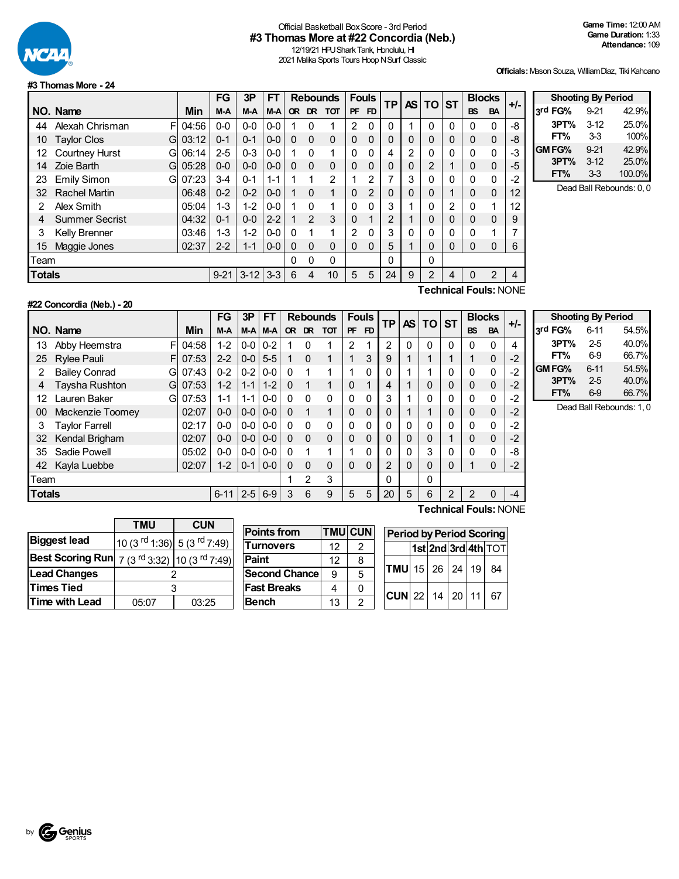

## Official Basketball BoxScore - 3rd Period **#3 Thomas More at #22 Concordia (Neb.)**

12/19/21 HPU Shark Tank, Honolulu, HI 2021 Malika Sports Tours Hoop N Surf Classic

**Officials:**Mason Souza, WilliamDiaz, Tiki Kahoano

#### **#3 ThomasMore - 24**

|                           |                            |       | FG      | 3P       | <b>FT</b> |              | <b>Rebounds</b> |            | <b>Fouls</b> |          | <b>TP</b> | AS I     | TOI      | <b>ST</b> | <b>Blocks</b> |             | $+/-$ |
|---------------------------|----------------------------|-------|---------|----------|-----------|--------------|-----------------|------------|--------------|----------|-----------|----------|----------|-----------|---------------|-------------|-------|
|                           | NO. Name                   | Min   | M-A     | M-A      | M-A       | <b>OR</b>    | <b>DR</b>       | <b>TOT</b> | <b>PF</b>    | FD       |           |          |          |           | <b>BS</b>     | <b>BA</b>   |       |
| 44                        | Alexah Chrisman<br>FI      | 04:56 | $0-0$   | $0-0$    | $0-0$     |              | $\Omega$        | 1          | 2            | $\Omega$ | 0         |          | $\Omega$ | 0         | 0             | 0           | -8    |
| 10                        | <b>Taylor Clos</b><br>Gl   | 03:12 | $0 - 1$ | $0 - 1$  | $0-0$     | $\mathbf{0}$ | $\Omega$        | 0          | $\Omega$     | $\Omega$ | 0         | 0        | 0        | 0         | 0             | $\mathbf 0$ | -8    |
| 12                        | <b>Courtney Hurst</b><br>G | 06:14 | $2 - 5$ | $0 - 3$  | $0-0$     |              | $\Omega$        | 1          | 0            | $\Omega$ | 4         | 2        | 0        | 0         | 0             | $\mathbf 0$ | -3    |
| 14                        | Zoie Barth<br>Gl           | 05:28 | $0 - 0$ | $0 - 0$  | $0 - 0$   | $\Omega$     | $\Omega$        | 0          | $\Omega$     | $\Omega$ | 0         | 0        | 2        |           | 0             | $\mathbf 0$ | -5    |
| 23                        | <b>Emily Simon</b><br>G    | 07:23 | $3 - 4$ | $0 - 1$  | $1 - 1$   | 1            | 1               | 2          |              | 2        | 7         | 3        | 0        | 0         | 0             | 0           | $-2$  |
| 32                        | <b>Rachel Martin</b>       | 06:48 | $0 - 2$ | $0 - 2$  | $0-0$     | 1            | $\Omega$        | 1          | $\Omega$     | 2        | 0         | 0        | 0        |           | 0             | $\mathbf 0$ | 12    |
| 2                         | Alex Smith                 | 05:04 | $1 - 3$ | $1 - 2$  | $0-0$     | 1            | $\Omega$        | 1          | $\Omega$     | $\Omega$ | 3         |          | 0        | 2         | 0             | 1           | 12    |
| 4                         | <b>Summer Secrist</b>      | 04:32 | $0 - 1$ | $0-0$    | $2 - 2$   |              | $\overline{2}$  | 3          | $\Omega$     | 1        | 2         |          | 0        | 0         | 0             | 0           | 9     |
| 3                         | <b>Kelly Brenner</b>       | 03:46 | $1 - 3$ | $1 - 2$  | $0-0$     | $\Omega$     | 1               | 1          | 2            | $\Omega$ | 3         | $\Omega$ | 0        | 0         | 0             | 1           |       |
| 15                        | Maggie Jones               | 02:37 | $2 - 2$ | $1 - 1$  | $0-0$     | $\Omega$     | $\Omega$        | 0          | 0            | $\Omega$ | 5         |          | 0        | 0         | 0             | 0           | 6     |
| Team                      |                            |       |         |          |           | 0            | 0               | 0          |              |          | 0         |          | 0        |           |               |             |       |
| <b>Totals</b><br>$9 - 21$ |                            |       |         | $3 - 12$ | $3-3$     | 6            | 4               | 10         | 5            | 5        | 24        | 9        | 2        | 4         | 0             | 2           | 4     |
|                           | Technical Fouls∙ NONF      |       |         |          |           |              |                 |            |              |          |           |          |          |           |               |             |       |

| <b>Shooting By Period</b> |          |        |  |  |  |  |  |  |  |  |  |
|---------------------------|----------|--------|--|--|--|--|--|--|--|--|--|
| 3rd FG%                   | $9 - 21$ | 42.9%  |  |  |  |  |  |  |  |  |  |
| 3PT%                      | $3-12$   | 25.0%  |  |  |  |  |  |  |  |  |  |
| FT%                       | 33       | 100%   |  |  |  |  |  |  |  |  |  |
| GM FG%                    | $9 - 21$ | 42.9%  |  |  |  |  |  |  |  |  |  |
| 3PT%                      | $3-12$   | 25.0%  |  |  |  |  |  |  |  |  |  |
| FT%                       | $3-3$    | 100.0% |  |  |  |  |  |  |  |  |  |

Dead Ball Rebounds: 0, 0

## **#22 Concordia (Neb.) - 20**

**Technical Fouls:**NONE

|               |                           |       | FG       | 3P              | FТ              | <b>Rebounds</b> |                | <b>Fouls</b> |          | TP        | <b>AS</b>      | <b>TO</b> | <b>ST</b> | <b>Blocks</b> |                | +/-       |      |
|---------------|---------------------------|-------|----------|-----------------|-----------------|-----------------|----------------|--------------|----------|-----------|----------------|-----------|-----------|---------------|----------------|-----------|------|
|               | NO. Name                  | Min   | M-A      |                 | M-A M-A         | <b>OR</b>       | DR.            | <b>TOT</b>   | PF       | <b>FD</b> |                |           |           |               | <b>BS</b>      | <b>BA</b> |      |
| 13            | Abby Heemstra<br>FI       | 04:58 | $1 - 2$  | $0-0$           | $0 - 2$         |                 | $\Omega$       | 1            | 2        |           | $\overline{2}$ | 0         | 0         | 0             | 0              | $\Omega$  | 4    |
| 25            | <b>Rylee Pauli</b><br>FI  | 07:53 | $2 - 2$  |                 | $0 - 0$ 5-5     |                 | $\Omega$       |              | 1        | 3         | 9              |           |           |               | 1              | 0         | $-2$ |
| 2             | <b>Bailey Conrad</b><br>G | 07:43 | $0 - 2$  | $0 - 2$         | $0-0$           | $\Omega$        | 1              | 1            | 1        | 0         | O              |           |           | 0             | $\mathbf{0}$   | 0         | $-2$ |
| 4             | Taysha Rushton<br>G       | 07:53 | $1 - 2$  | $1 - 1$         | $1 - 2$         | $\Omega$        |                |              | $\Omega$ |           | 4              |           | 0         | 0             | $\overline{0}$ | $\Omega$  | $-2$ |
| 12            | Lauren Baker<br>G         | 07:53 | $1 - 1$  | $1 - 1$         | $0-0$           | $\Omega$        | $\Omega$       | 0            | 0        | $\Omega$  | 3              |           | 0         | 0             | $\mathbf 0$    | 0         | $-2$ |
| 00            | Mackenzie Toomey          | 02:07 | $0 - 0$  |                 | $0 - 0 1 0 - 0$ | $\Omega$        | 1              | 1            | $\Omega$ | $\Omega$  | 0              |           |           | 0             | $\overline{0}$ | $\Omega$  | $-2$ |
| 3             | <b>Taylor Farrell</b>     | 02:17 | $0 - 0$  |                 | $0 - 0 0 - 0$   | $\Omega$        | $\Omega$       | 0            | 0        | 0         |                | 0         | 0         | 0             | $\mathbf 0$    | 0         | $-2$ |
| 32            | Kendal Brigham            | 02:07 | $0 - 0$  |                 | $0 - 0 1 0 - 0$ | $\Omega$        | $\Omega$       | $\Omega$     | $\Omega$ | $\Omega$  | $\Omega$       | 0         | 0         |               | 0              | $\Omega$  | $-2$ |
| 35            | Sadie Powell              | 05:02 | $0-0$    | $0 - 0 1 0 - 0$ |                 | $\Omega$        |                |              | 1        | 0         | 0              | 0         | 3         | 0             | $\mathbf{0}$   | 0         | -8   |
| 42            | Kayla Luebbe              | 02:07 | $1 - 2$  |                 | $0 - 1$   0-0   | 0               | $\Omega$       | 0            | $\Omega$ | $\Omega$  | $\overline{2}$ | 0         | 0         | 0             | 1              | $\Omega$  | $-2$ |
| Team          |                           |       |          |                 |                 |                 | $\mathfrak{p}$ | 3            |          |           | $\Omega$       |           | 0         |               |                |           |      |
| <b>Totals</b> |                           |       | $6 - 11$ | $2 - 5$ 6-9     |                 | 3               | 6              | 9            | 5        | 5         | 20             | 5         | 6         | 2             | 2              | 0         | -4   |
|               |                           |       |          |                 |                 |                 |                |              |          |           |                |           | -         |               |                |           |      |

| <b>Shooting By Period</b> |          |       |  |  |  |  |  |  |  |  |
|---------------------------|----------|-------|--|--|--|--|--|--|--|--|
| 3rd FG%                   | 6-11     | 54.5% |  |  |  |  |  |  |  |  |
| 3PT%                      | $2-5$    | 40.0% |  |  |  |  |  |  |  |  |
| FT%                       | 69       | 66.7% |  |  |  |  |  |  |  |  |
| GM FG%                    | $6 - 11$ | 54.5% |  |  |  |  |  |  |  |  |
| 3PT%                      | $2-5$    | 40.0% |  |  |  |  |  |  |  |  |
| FT%                       | 6-9      | 66.7% |  |  |  |  |  |  |  |  |

Dead Ball Rebounds: 1, 0

|                                                                                               | <b>TMU</b>                                         | <b>CUN</b> |
|-----------------------------------------------------------------------------------------------|----------------------------------------------------|------------|
| <b>Biggest lead</b>                                                                           | 10 (3 <sup>rd</sup> 1:36) 5 (3 <sup>rd</sup> 7:49) |            |
| <b>Best Scoring Run</b> $\left 7\right\rangle (3^{rd}3:32)\left 10\right\rangle (3^{rd}7:49)$ |                                                    |            |
| <b>Lead Changes</b>                                                                           |                                                    |            |
| <b>Times Tied</b>                                                                             | 3                                                  |            |
| Time with Lead                                                                                | 05:07                                              | 03:25      |

| <b>Points from</b> |    | <b>TMU CUN</b> | Period     |
|--------------------|----|----------------|------------|
| <b>Turnovers</b>   | 12 | 2              |            |
| Paint              | 12 | 8              |            |
| Second Chance      | 9  | 5              | <b>TMU</b> |
| <b>Fast Breaks</b> |    |                | $\cdot$    |
| <b>Bench</b>       | 13 | 2              | <b>CUN</b> |

| JΝ |                                | <b>Period by Period Scoring</b> |  |  |  |                     |  |  |  |  |  |  |
|----|--------------------------------|---------------------------------|--|--|--|---------------------|--|--|--|--|--|--|
|    |                                |                                 |  |  |  | 1st 2nd 3rd 4th TOT |  |  |  |  |  |  |
|    | $TMU$ 15 26 24 19 84           |                                 |  |  |  |                     |  |  |  |  |  |  |
|    | $ CUN $ 22   14   20   11   67 |                                 |  |  |  |                     |  |  |  |  |  |  |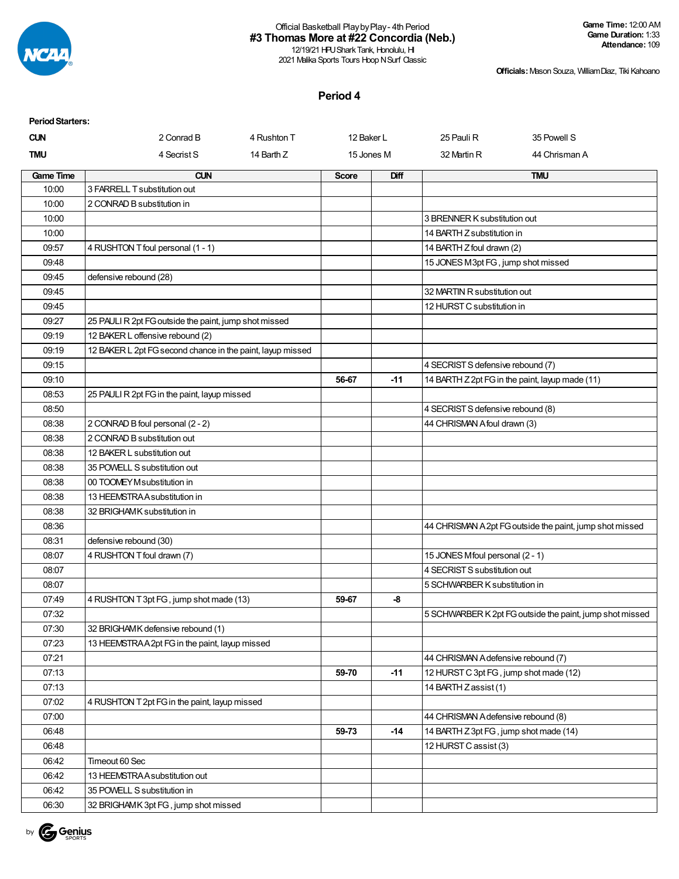

12/19/21 HPU Shark Tank, Honolulu, HI 2021 Malika Sports Tours Hoop N Surf Classic

**Officials:**Mason Souza, WilliamDiaz, Tiki Kahoano

### **Period 4**

| <b>Period Starters:</b> |                                                            |              |            |                                        |                                                          |
|-------------------------|------------------------------------------------------------|--------------|------------|----------------------------------------|----------------------------------------------------------|
| <b>CUN</b>              | 2 Conrad B<br>4 Rushton T                                  | 12 Baker L   |            | 25 Pauli R                             | 35 Powell S                                              |
| <b>TMU</b>              | 4 Secrist S<br>14 Barth Z                                  |              | 15 Jones M | 32 Martin R                            | 44 Chrisman A                                            |
| <b>Game Time</b>        | <b>CUN</b>                                                 | <b>Score</b> | Diff       |                                        | <b>TMU</b>                                               |
| 10:00                   | 3 FARRELL T substitution out                               |              |            |                                        |                                                          |
| 10:00                   | 2 CONRAD B substitution in                                 |              |            |                                        |                                                          |
| 10:00                   |                                                            |              |            | 3 BRENNER K substitution out           |                                                          |
| 10:00                   |                                                            |              |            | 14 BARTH Z substitution in             |                                                          |
| 09:57                   | 4 RUSHTON T foul personal (1 - 1)                          |              |            | 14 BARTH Z foul drawn (2)              |                                                          |
| 09:48                   |                                                            |              |            | 15 JONES M3pt FG, jump shot missed     |                                                          |
| 09:45                   | defensive rebound (28)                                     |              |            |                                        |                                                          |
| 09:45                   |                                                            |              |            | 32 MARTIN R substitution out           |                                                          |
| 09:45                   |                                                            |              |            | 12 HURST C substitution in             |                                                          |
| 09:27                   | 25 PAULI R 2pt FG outside the paint, jump shot missed      |              |            |                                        |                                                          |
| 09:19                   | 12 BAKER L offensive rebound (2)                           |              |            |                                        |                                                          |
| 09:19                   | 12 BAKER L 2pt FG second chance in the paint, layup missed |              |            |                                        |                                                          |
| 09:15                   |                                                            |              |            | 4 SECRIST S defensive rebound (7)      |                                                          |
| 09:10                   |                                                            | 56-67        | -11        |                                        | 14 BARTH Z 2pt FG in the paint, layup made (11)          |
| 08:53                   | 25 PAULI R 2pt FG in the paint, layup missed               |              |            |                                        |                                                          |
| 08:50                   |                                                            |              |            | 4 SECRIST S defensive rebound (8)      |                                                          |
| 08:38                   | 2 CONRAD B foul personal (2 - 2)                           |              |            | 44 CHRISMAN A foul drawn (3)           |                                                          |
| 08:38                   | 2 CONRAD B substitution out                                |              |            |                                        |                                                          |
| 08:38                   | 12 BAKER L substitution out                                |              |            |                                        |                                                          |
| 08:38                   | 35 POWELL S substitution out                               |              |            |                                        |                                                          |
| 08:38                   | 00 TOOMEY M substitution in                                |              |            |                                        |                                                          |
| 08:38                   | 13 HEEMSTRA A substitution in                              |              |            |                                        |                                                          |
| 08:38                   | 32 BRIGHAMK substitution in                                |              |            |                                        |                                                          |
| 08:36                   |                                                            |              |            |                                        | 44 CHRISMAN A 2pt FG outside the paint, jump shot missed |
| 08:31                   | defensive rebound (30)                                     |              |            |                                        |                                                          |
| 08:07                   | 4 RUSHTON T foul drawn (7)                                 |              |            | 15 JONES Mfoul personal (2 - 1)        |                                                          |
| 08:07                   |                                                            |              |            | 4 SECRIST S substitution out           |                                                          |
| 08:07                   |                                                            |              |            | 5 SCHWARBER K substitution in          |                                                          |
| 07:49                   | 4 RUSHTON T 3pt FG, jump shot made (13)                    | 59-67        | -8         |                                        |                                                          |
| 07:32                   |                                                            |              |            |                                        | 5 SCHWARBER K 2pt FG outside the paint, jump shot missed |
| 07:30                   | 32 BRIGHAMK defensive rebound (1)                          |              |            |                                        |                                                          |
| 07:23                   | 13 HEEMSTRAA2pt FG in the paint, layup missed              |              |            |                                        |                                                          |
| 07:21                   |                                                            |              |            | 44 CHRISMAN A defensive rebound (7)    |                                                          |
| 07:13                   |                                                            | 59-70        | $-11$      | 12 HURST C 3pt FG, jump shot made (12) |                                                          |
| 07:13                   |                                                            |              |            | 14 BARTH Z assist (1)                  |                                                          |
| 07:02                   | 4 RUSHTON T 2pt FG in the paint, layup missed              |              |            |                                        |                                                          |
| 07:00                   |                                                            |              |            | 44 CHRISMAN A defensive rebound (8)    |                                                          |
| 06:48                   |                                                            | 59-73        | $-14$      | 14 BARTH Z 3pt FG, jump shot made (14) |                                                          |
| 06:48                   |                                                            |              |            | 12 HURST C assist (3)                  |                                                          |
| 06:42                   | Timeout 60 Sec                                             |              |            |                                        |                                                          |
| 06:42                   | 13 HEEMSTRA A substitution out                             |              |            |                                        |                                                          |
| 06:42                   | 35 POWELL S substitution in                                |              |            |                                        |                                                          |
| 06:30                   | 32 BRIGHAMK 3pt FG, jump shot missed                       |              |            |                                        |                                                          |

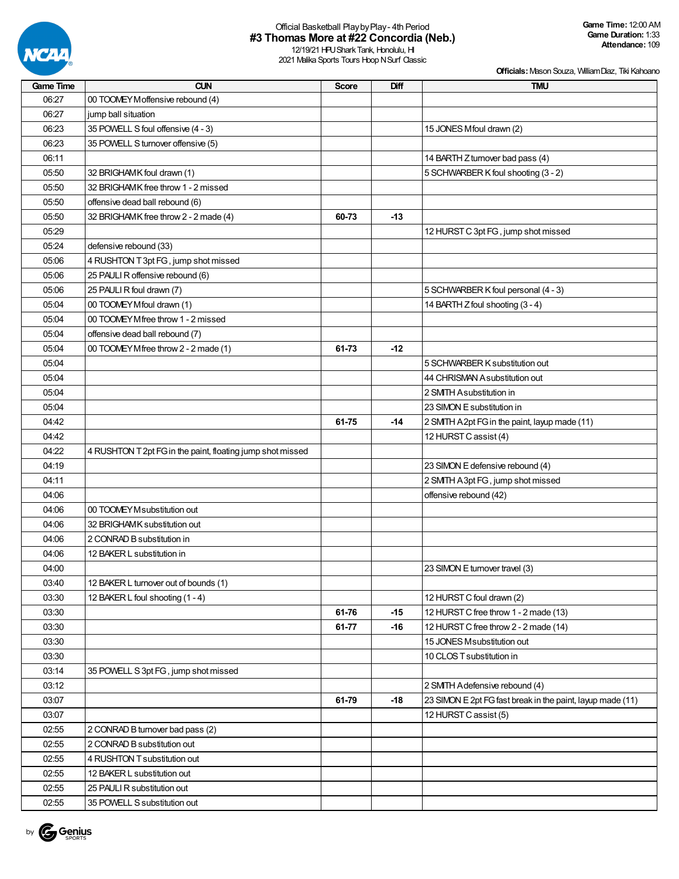

12/19/21 HPU Shark Tank, Honolulu, HI 2021 Malika Sports Tours Hoop N Surf Classic

| <b>Game Time</b> | <b>CUN</b>                                                 | <b>Score</b> | Diff  | <b>TMU</b>                                                 |
|------------------|------------------------------------------------------------|--------------|-------|------------------------------------------------------------|
| 06:27            | 00 TOOMEY Moffensive rebound (4)                           |              |       |                                                            |
| 06:27            | jump ball situation                                        |              |       |                                                            |
| 06:23            | 35 POWELL S foul offensive (4 - 3)                         |              |       | 15 JONES Mfoul drawn (2)                                   |
| 06:23            | 35 POWELL S turnover offensive (5)                         |              |       |                                                            |
| 06:11            |                                                            |              |       | 14 BARTH Z turnover bad pass (4)                           |
| 05:50            | 32 BRIGHAMK foul drawn (1)                                 |              |       | 5 SCHWARBER K foul shooting (3 - 2)                        |
| 05:50            | 32 BRIGHAMK free throw 1 - 2 missed                        |              |       |                                                            |
| 05:50            | offensive dead ball rebound (6)                            |              |       |                                                            |
| 05:50            | 32 BRIGHAMK free throw 2 - 2 made (4)                      | 60-73        | $-13$ |                                                            |
| 05:29            |                                                            |              |       | 12 HURST C 3pt FG, jump shot missed                        |
| 05:24            | defensive rebound (33)                                     |              |       |                                                            |
| 05:06            | 4 RUSHTON T 3pt FG, jump shot missed                       |              |       |                                                            |
| 05:06            | 25 PAULI R offensive rebound (6)                           |              |       |                                                            |
| 05:06            | 25 PAULI R foul drawn (7)                                  |              |       | 5 SCHWARBER K foul personal (4 - 3)                        |
| 05:04            | 00 TOOMEY Mfoul drawn (1)                                  |              |       | 14 BARTH Z foul shooting (3 - 4)                           |
| 05:04            | 00 TOOMEY Mfree throw 1 - 2 missed                         |              |       |                                                            |
| 05:04            | offensive dead ball rebound (7)                            |              |       |                                                            |
| 05:04            | 00 TOOMEY Mfree throw 2 - 2 made (1)                       | 61-73        | $-12$ |                                                            |
| 05:04            |                                                            |              |       | 5 SCHWARBER K substitution out                             |
| 05:04            |                                                            |              |       | 44 CHRISMAN A substitution out                             |
| 05:04            |                                                            |              |       |                                                            |
|                  |                                                            |              |       | 2 SMITH Asubstitution in                                   |
| 05:04            |                                                            |              |       | 23 SIMON E substitution in                                 |
| 04:42            |                                                            | 61-75        | $-14$ | 2 SMTH A 2pt FG in the paint, layup made (11)              |
| 04:42            |                                                            |              |       | 12 HURST C assist (4)                                      |
| 04:22            | 4 RUSHTON T 2pt FG in the paint, floating jump shot missed |              |       |                                                            |
| 04:19            |                                                            |              |       | 23 SIMON E defensive rebound (4)                           |
| 04:11            |                                                            |              |       | 2 SMTH A3pt FG, jump shot missed                           |
| 04:06            |                                                            |              |       | offensive rebound (42)                                     |
| 04:06            | 00 TOOMEY M substitution out                               |              |       |                                                            |
| 04:06            | 32 BRIGHAMK substitution out                               |              |       |                                                            |
| 04:06            | 2 CONRAD B substitution in                                 |              |       |                                                            |
| 04:06            | 12 BAKER L substitution in                                 |              |       |                                                            |
| 04:00            |                                                            |              |       | 23 SIMON E turnover travel (3)                             |
| 03:40            | 12 BAKER L turnover out of bounds (1)                      |              |       |                                                            |
| 03:30            | 12 BAKER L foul shooting (1 - 4)                           |              |       | 12 HURST C foul drawn (2)                                  |
| 03:30            |                                                            | 61-76        | $-15$ | 12 HURST C free throw 1 - 2 made (13)                      |
| 03:30            |                                                            | 61-77        | -16   | 12 HURST C free throw 2 - 2 made (14)                      |
| 03:30            |                                                            |              |       | 15 JONES M substitution out                                |
| 03:30            |                                                            |              |       | 10 CLOS T substitution in                                  |
| 03:14            | 35 POWELL S 3pt FG, jump shot missed                       |              |       |                                                            |
| 03:12            |                                                            |              |       | 2 SMITH Adefensive rebound (4)                             |
| 03:07            |                                                            | 61-79        | $-18$ | 23 SIMON E 2pt FG fast break in the paint, layup made (11) |
| 03:07            |                                                            |              |       | 12 HURST C assist (5)                                      |
| 02:55            | 2 CONRAD B turnover bad pass (2)                           |              |       |                                                            |
| 02:55            | 2 CONRAD B substitution out                                |              |       |                                                            |
| 02:55            | 4 RUSHTON T substitution out                               |              |       |                                                            |
| 02:55            | 12 BAKER L substitution out                                |              |       |                                                            |
| 02:55            | 25 PAULI R substitution out                                |              |       |                                                            |
| 02:55            | 35 POWELL S substitution out                               |              |       |                                                            |

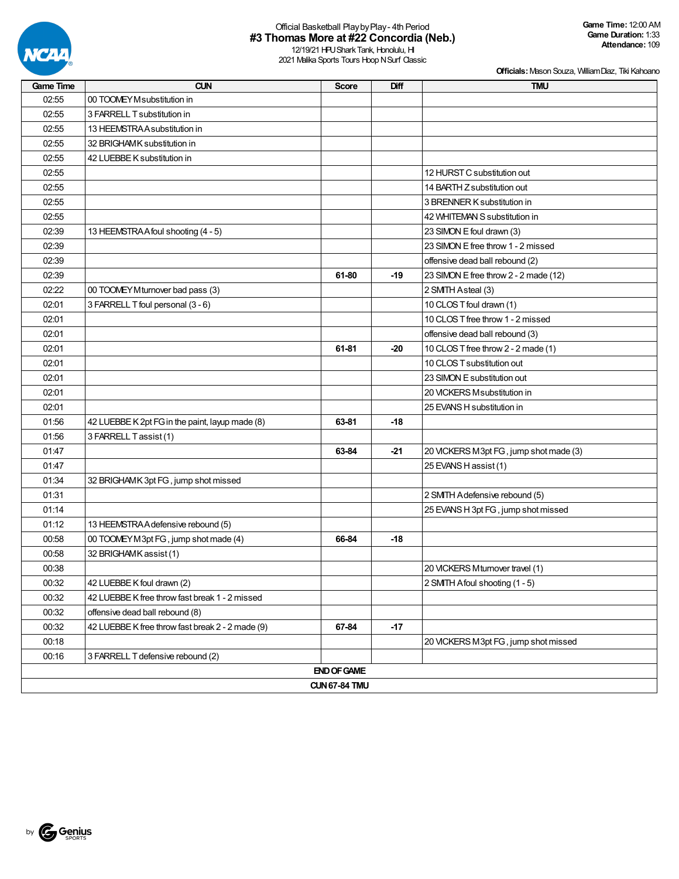

12/19/21 HPU Shark Tank, Honolulu, HI 2021 Malika Sports Tours Hoop N Surf Classic

| <b>Game Time</b> | <b>CUN</b>                                       | <b>Score</b>         | Diff  | <b>TMU</b>                             |
|------------------|--------------------------------------------------|----------------------|-------|----------------------------------------|
| 02:55            | 00 TOOMEY M substitution in                      |                      |       |                                        |
| 02:55            | 3 FARRELL T substitution in                      |                      |       |                                        |
| 02:55            | 13 HEEMSTRAA substitution in                     |                      |       |                                        |
| 02:55            | 32 BRIGHAMK substitution in                      |                      |       |                                        |
| 02:55            | 42 LUEBBE K substitution in                      |                      |       |                                        |
| 02:55            |                                                  |                      |       | 12 HURST C substitution out            |
| 02:55            |                                                  |                      |       | 14 BARTH Z substitution out            |
| 02:55            |                                                  |                      |       | 3 BRENNER K substitution in            |
| 02:55            |                                                  |                      |       | 42 WHITEMAN S substitution in          |
| 02:39            | 13 HEEMSTRA A foul shooting (4 - 5)              |                      |       | 23 SIMON E foul drawn (3)              |
| 02:39            |                                                  |                      |       | 23 SIMON E free throw 1 - 2 missed     |
| 02:39            |                                                  |                      |       | offensive dead ball rebound (2)        |
| 02:39            |                                                  | 61-80                | $-19$ | 23 SIMON E free throw 2 - 2 made (12)  |
| 02:22            | 00 TOOMEY Mturnover bad pass (3)                 |                      |       | 2 SMTH Asteal (3)                      |
| 02:01            | 3 FARRELL T foul personal (3 - 6)                |                      |       | 10 CLOS T foul drawn (1)               |
| 02:01            |                                                  |                      |       | 10 CLOS T free throw 1 - 2 missed      |
| 02:01            |                                                  |                      |       | offensive dead ball rebound (3)        |
| 02:01            |                                                  | 61-81                | $-20$ | 10 CLOS T free throw 2 - 2 made (1)    |
| 02:01            |                                                  |                      |       | 10 CLOS T substitution out             |
| 02:01            |                                                  |                      |       | 23 SIMON E substitution out            |
| 02:01            |                                                  |                      |       | 20 VICKERS M substitution in           |
| 02:01            |                                                  |                      |       | 25 EVANS H substitution in             |
| 01:56            | 42 LUEBBE K 2pt FG in the paint, layup made (8)  | 63-81                | $-18$ |                                        |
| 01:56            | 3 FARRELL Tassist (1)                            |                      |       |                                        |
| 01:47            |                                                  | 63-84                | $-21$ | 20 VICKERS M3pt FG, jump shot made (3) |
| 01:47            |                                                  |                      |       | 25 EVANS H assist (1)                  |
| 01:34            | 32 BRIGHAMK 3pt FG, jump shot missed             |                      |       |                                        |
| 01:31            |                                                  |                      |       | 2 SMTH Adefensive rebound (5)          |
| 01:14            |                                                  |                      |       | 25 EVANS H 3pt FG, jump shot missed    |
| 01:12            | 13 HEEMSTRA A defensive rebound (5)              |                      |       |                                        |
| 00:58            | 00 TOOMEY M3pt FG, jump shot made (4)            | 66-84                | $-18$ |                                        |
| 00:58            | 32 BRIGHAMK assist (1)                           |                      |       |                                        |
| 00:38            |                                                  |                      |       | 20 VICKERS Mturnover travel (1)        |
| 00:32            | 42 LUEBBE K foul drawn (2)                       |                      |       | 2 SMTH Afoul shooting (1 - 5)          |
| 00:32            | 42 LUEBBE K free throw fast break 1 - 2 missed   |                      |       |                                        |
| 00:32            | offensive dead ball rebound (8)                  |                      |       |                                        |
| 00:32            | 42 LUEBBE K free throw fast break 2 - 2 made (9) | 67-84                | $-17$ |                                        |
| 00:18            |                                                  |                      |       | 20 VICKERS M3pt FG, jump shot missed   |
| 00:16            | 3 FARRELL T defensive rebound (2)                |                      |       |                                        |
|                  |                                                  | <b>END OF GAME</b>   |       |                                        |
|                  |                                                  | <b>CUN 67-84 TMU</b> |       |                                        |

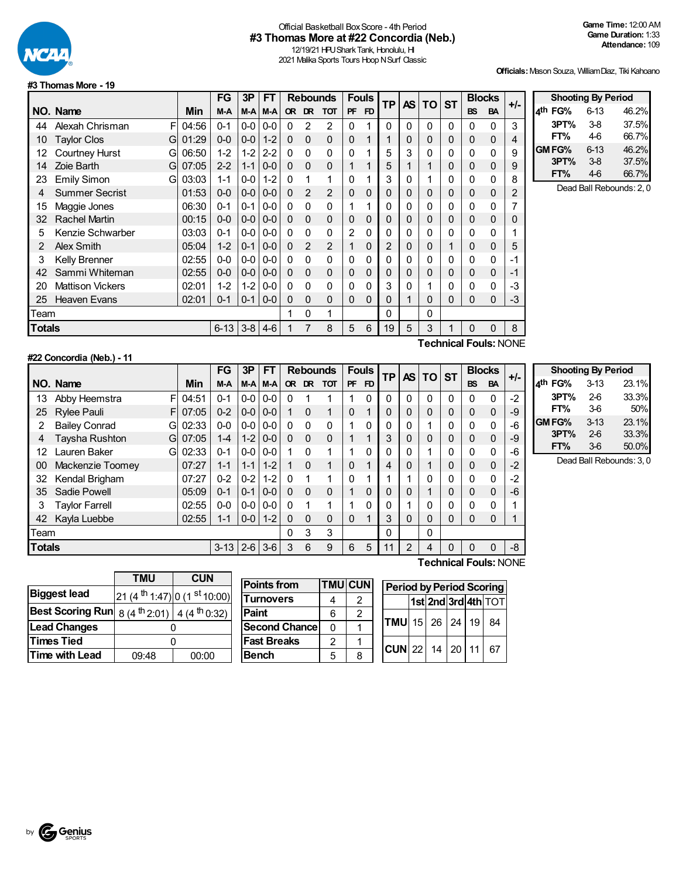

## Official Basketball BoxScore - 4th Period **#3 Thomas More at #22 Concordia (Neb.)**

12/19/21 HPU Shark Tank, Honolulu, HI 2021 Malika Sports Tours Hoop N Surf Classic

**Officials:**Mason Souza, WilliamDiaz, Tiki Kahoano

**Shooting By Period 4 th FG%** 6-13 46.2% **3PT%** 3-8 37.5% **FT%** 4-6 66.7%

#### **#3 ThomasMore - 19**

|               |                            |       | <b>FG</b>      | 3P          | FТ      |              |                | <b>Rebounds</b> |                | <b>Fouls</b> | <b>TP</b> |   | AS TO                     | <b>ST</b> | <b>Blocks</b> |              | $+/-$                         |                     | <b>Shooting By Period</b> |                        |
|---------------|----------------------------|-------|----------------|-------------|---------|--------------|----------------|-----------------|----------------|--------------|-----------|---|---------------------------|-----------|---------------|--------------|-------------------------------|---------------------|---------------------------|------------------------|
|               | NO. Name                   | Min   | M-A            | $M-A$ $M-A$ |         |              |                | OR DR TOT       | <b>PF</b>      | <b>FD</b>    |           |   |                           |           | <b>BS</b>     | <b>BA</b>    |                               | 4 <sup>th</sup> FG% | 6-13                      | 46.2%                  |
| 44            | Alexah Chrisman            | 04:56 | $0 - 1$        | $0-0$       | $0 - 0$ | 0            | 2              | 2               | 0              |              | 0         | 0 | $\Omega$                  | 0         | 0             | 0            | 3                             | 3PT%                | $3-8$                     | 37.5%                  |
| 10            | <b>Taylor Clos</b><br>G    | 01:29 | $0-0$          | $0 - 0$     | $1 - 2$ | $\Omega$     | $\mathbf{0}$   | $\mathbf 0$     | 0              |              |           | 0 | 0                         | 0         | 0             | $\mathbf{0}$ | 4                             | FT%                 | 46                        | 66.7%                  |
| 12            | <b>Courtney Hurst</b><br>G | 06:50 | $1 - 2$        | $1-2$       | $2 - 2$ | $\Omega$     | $\mathbf{0}$   | 0               | 0              |              | 5         | 3 | 0                         | 0         | 0             | 0            | 9                             | <b>GM FG%</b>       | 6-13                      | 46.2%                  |
| 14            | Zoie Barth<br>G            | 07:05 | $2 - 2$        | $1 - 1$     | $0 - 0$ | $\Omega$     | $\overline{0}$ | $\mathbf 0$     |                |              | 5         |   |                           | 0         | 0             | 0            | 9                             | 3PT%                | $3-8$                     | 37.5%                  |
| 23            | <b>Emily Simon</b><br>G    | 03:03 | $1 - 1$        | $0-0$       | $1 - 2$ | $\mathbf{0}$ |                |                 | 0              |              | 3         | 0 |                           | 0         | 0             | 0            | 8                             | FT%                 | 46                        | 66.7%                  |
|               | <b>Summer Secrist</b>      | 01:53 | $0-0$          | $0-0$       | $0 - 0$ | $\Omega$     | 2              | 2               | 0              | 0            | 0         | 0 | 0                         | 0         | 0             | $\mathbf{0}$ | 2                             |                     |                           | Dead Ball Rebounds: 2, |
| 15            | Maggie Jones               | 06:30 | $0 - 1$        | 0-1         | $0-0$   | $\Omega$     | $\mathbf{0}$   | 0               |                |              | 0         | 0 | 0                         | 0         | 0             | 0            |                               |                     |                           |                        |
| 32            | Rachel Martin              | 00:15 | $0-0$          | $0-0$       | $0 - 0$ | $\Omega$     | $\Omega$       | 0               | 0              | $\mathbf 0$  | 0         | 0 | 0                         | 0         | 0             | $\mathbf{0}$ | 0                             |                     |                           |                        |
| 5.            | Kenzie Schwarber           | 03:03 | $0 - 1$        | $0-0$       | $0 - 0$ | $\Omega$     | $\mathbf{0}$   | 0               | $\overline{2}$ | 0            | 0         | 0 | 0                         | 0         | 0             | 0            |                               |                     |                           |                        |
| 2             | Alex Smith                 | 05:04 | $1 - 2$        | $0 - 1$     | $0 - 0$ | $\Omega$     | 2              | 2               |                | $\mathbf 0$  | 2         | 0 | 0                         |           | 0             | $\mathbf{0}$ | 5                             |                     |                           |                        |
| 3             | Kelly Brenner              | 02:55 | $0-0$          | $0-0$       | $0-0$   | $\Omega$     | $\mathbf{0}$   | 0               | 0              | 0            | 0         | 0 | 0                         | 0         | 0             | 0            | -1                            |                     |                           |                        |
| 42            | Sammi Whiteman             | 02:55 | $0-0$          | $0-0$       | $0 - 0$ | $\Omega$     | $\Omega$       | $\mathbf{0}$    | 0              | 0            | 0         | 0 | 0                         | 0         | 0             | 0            | -1                            |                     |                           |                        |
| 20            | <b>Mattison Vickers</b>    | 02:01 | $1 - 2$        | $1-2$       | $0-0$   | $\mathbf{0}$ | $\mathbf{0}$   | 0               | 0              | 0            | 3         | 0 |                           | 0         | 0             | 0            | -3                            |                     |                           |                        |
| 25            | <b>Heaven Evans</b>        | 02:01 | $0 - 1$        | $0 - 1$     | $0-0$   | 0            | $\Omega$       | $\mathbf 0$     | 0              | $\Omega$     | 0         |   | 0                         | 0         | 0             | 0            | -3                            |                     |                           |                        |
| Team          |                            |       |                |             |         |              | 0              |                 |                |              | 0         |   | $\Omega$                  |           |               |              |                               |                     |                           |                        |
| <b>Totals</b> |                            |       | $6-13$ 3-8 4-6 |             |         |              |                | 8               | 5              | 6            | 19        | 5 | 3                         |           | 0             | $\Omega$     | 8                             |                     |                           |                        |
|               |                            |       |                |             |         |              |                |                 |                |              |           |   | marked the control of the |           |               |              | $-1$ Fig. $-1$ $-1$ $-1$ $-1$ |                     |                           |                        |

## **#22 Concordia (Neb.) - 11**

**Technical Fouls:**NONE

|               |                           |       | <b>FG</b> | 3P      | FТ              | <b>Rebounds</b> |          | <b>Fouls</b> |           | <b>TP</b>      | <b>AS</b> | TO.      | <b>ST</b> |          | <b>Blocks</b> | +/-       |      |
|---------------|---------------------------|-------|-----------|---------|-----------------|-----------------|----------|--------------|-----------|----------------|-----------|----------|-----------|----------|---------------|-----------|------|
|               | NO. Name                  | Min   | M-A       |         | M-A M-A         | <b>OR</b>       | DR.      | <b>TOT</b>   | <b>PF</b> | F <sub>D</sub> |           |          |           |          | <b>BS</b>     | <b>BA</b> |      |
| 13            | Abby Heemstra<br>F        | 04:51 | $0 - 1$   |         | $0 - 0 0 - 0$   | 0               |          |              |           | 0              | 0         | 0        | 0         |          | 0             | 0         | $-2$ |
| 25            | <b>Rylee Pauli</b><br>FI  | 07:05 | $0 - 2$   |         | $0 - 0 1 0 - 0$ |                 | $\Omega$ | 1            | 0         | 1              | 0         | 0        | 0         | $\Omega$ | $\Omega$      | 0         | -9   |
| 2             | <b>Bailey Conrad</b><br>G | 02:33 | $0-0$     |         | $0 - 0 0 - 0$   | $\Omega$        | $\Omega$ | $\Omega$     | 4         | 0              | 0         | 0        | 4         | 0        | $\Omega$      | 0         | -6   |
| 4             | Taysha Rushton<br>G       | 07:05 | $1 - 4$   |         | $1 - 2$ 0-0     | $\Omega$        | $\Omega$ | $\Omega$     |           | 1              | 3         | 0        | 0         |          | $\Omega$      | $\Omega$  | -9   |
| 12            | Lauren Baker<br>G         | 02:33 | $0 - 1$   |         | $0 - 0 1 0 - 0$ |                 | $\Omega$ |              | 4         | 0              | 0         | 0        |           |          | 0             | 0         | -6   |
| 00            | Mackenzie Toomey          | 07:27 | $1 - 1$   | $1-1$   | $1 - 2$         |                 | $\Omega$ | 1            | $\Omega$  | 1              | 4         | 0        | 1         |          | 0             | $\Omega$  | $-2$ |
| 32            | Kendal Brigham            | 07:27 | $0 - 2$   | $0 - 2$ | $1 - 2$         | $\Omega$        | 1        |              | 0         | 4              |           |          | 0         | 0        | $\Omega$      | 0         | $-2$ |
| 35            | Sadie Powell              | 05:09 | $0 - 1$   | $0 - 1$ | $0 - 0$         | $\Omega$        | $\Omega$ | $\Omega$     | 1         | $\mathbf 0$    | 0         | 0        |           |          | 0             | $\Omega$  | $-6$ |
| 3             | Taylor Farrell            | 02:55 | $0-0$     |         | $0 - 0 1 0 - 0$ | 0               |          |              | ◢         | 0              | 0         |          | 0         |          | 0             | 0         | 1    |
| 42            | Kayla Luebbe              | 02:55 | 1-1       |         | $0 - 0$   1-2   | 0               | $\Omega$ | $\Omega$     | $\Omega$  | 4              | 3         | $\Omega$ | 0         |          | 0             | 0         |      |
| Team          |                           |       |           |         |                 | 0               | 3        | 3            |           |                | 0         |          | 0         |          |               |           |      |
| <b>Totals</b> |                           |       | $3 - 13$  | $2 - 6$ | $3-6$           | 3               | 6        | 9            | 6         | 5              | 11        | 2        | 4         |          | 0             |           | $-8$ |

**Shooting By Period 4 th FG%** 3-13 23.1% **3PT%** 2-6 33.3% **FT%** 3-6 50% **GM FG%** 3-13 23.1%<br> **3PT%** 2-6 33.3% **3PT%** 2-6 33.3% **FT%** 3-6 50.0%

Dead Ball Rebounds: 3, 0

|                                                                    | <b>TMU</b> | <b>CUN</b>                                          |  |  |  |  |  |
|--------------------------------------------------------------------|------------|-----------------------------------------------------|--|--|--|--|--|
| <b>Biggest lead</b>                                                |            | 21 (4 <sup>th</sup> 1:47) 0 (1 <sup>st</sup> 10:00) |  |  |  |  |  |
| <b>Best Scoring Run</b> $ 8(4^{th}2:01) $ 4 (4 <sup>th</sup> 0:32) |            |                                                     |  |  |  |  |  |
| <b>Lead Changes</b>                                                |            |                                                     |  |  |  |  |  |
| <b>Times Tied</b>                                                  |            |                                                     |  |  |  |  |  |
| Time with Lead                                                     | 09:48      | 00:00                                               |  |  |  |  |  |

| <b>Points from</b>   |   | <b>TMU CUN</b> |
|----------------------|---|----------------|
| <b>Turnovers</b>     |   | 2              |
| <b>Paint</b>         | 6 | 2              |
| <b>Second Chance</b> | O |                |
| <b>Fast Breaks</b>   | 2 |                |
| <b>Bench</b>         | 5 | Զ              |

| <b>Technical Fouls: NONE</b> |  |
|------------------------------|--|
|                              |  |

| <b>Period by Period Scoring</b> |  |  |                     |
|---------------------------------|--|--|---------------------|
|                                 |  |  | 1st 2nd 3rd 4th TOT |
| $TMU$ 15 26 24 19 84            |  |  |                     |
| $ CUN $ 22   14   20   11   67  |  |  |                     |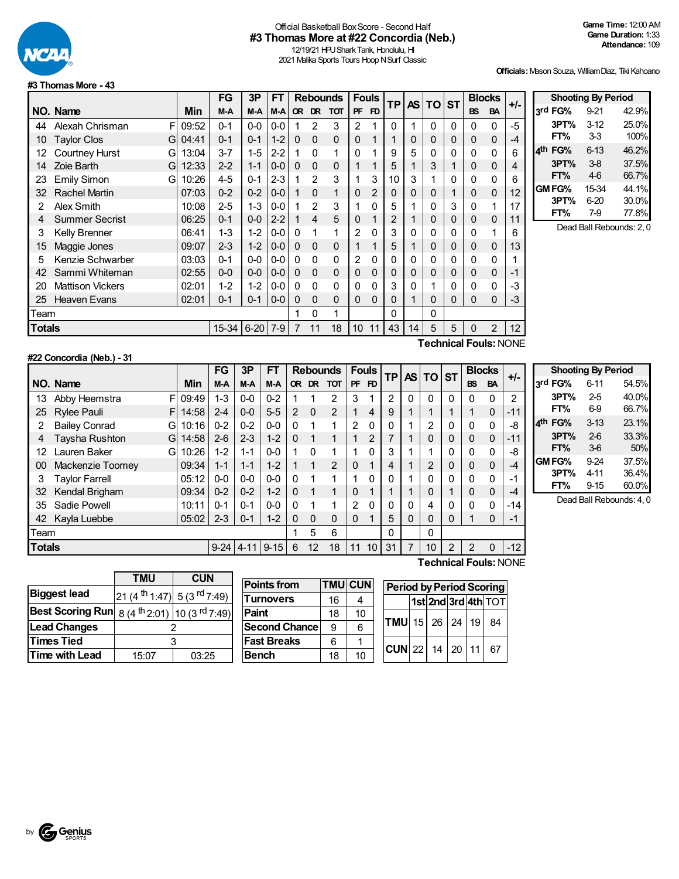

## Official Basketball BoxScore - Second Half **#3 Thomas More at #22 Concordia (Neb.)**

12/19/21 HPU Shark Tank, Honolulu, HI 2021 Malika Sports Tours Hoop N Surf Classic

**Officials:**Mason Souza, WilliamDiaz, Tiki Kahoano

**Shooting By Period 3 rd FG%** 9-21 42.9% **3PT%** 3-12 25.0% **FT%** 3-3 100% **4 th FG%** 6-13 46.2% **3PT%** 3-8 37.5% **FT%** 4-6 66.7% **GM FG%** 15-34 44.1%<br> **3PT%** 6-20 30.0% **3PT%** 6-20

> **FT%** 7-9 77.8% Dead Ball Rebounds: 2, 0

#### **#3 ThomasMore - 43**

**#22 Concordia (Neb.) - 31**

|        |                            |       | FG        | 3P      | FT      |             |                | <b>Rebounds</b> | <b>Fouls</b>    |                | <b>TP</b> | AS I     | <b>TO</b> | <b>ST</b> |           | <b>Blocks</b>         | $+/-$ |
|--------|----------------------------|-------|-----------|---------|---------|-------------|----------------|-----------------|-----------------|----------------|-----------|----------|-----------|-----------|-----------|-----------------------|-------|
|        | NO. Name                   | Min   | M-A       | M-A     | M-A     |             | OR DR          | <b>TOT</b>      | <b>PF</b>       | FD             |           |          |           |           | <b>BS</b> | <b>BA</b>             |       |
| 44     | Alexah Chrisman<br>F       | 09:52 | $0 - 1$   | $0-0$   | $0-0$   |             | 2              | 3               | 2               | 4              | 0         | 1        | $\Omega$  | 0         | 0         | 0                     | $-5$  |
| 10     | <b>Taylor Clos</b><br>G    | 04:41 | $0 - 1$   | $0 - 1$ | $1 - 2$ | $\Omega$    | $\Omega$       | $\mathbf 0$     | $\Omega$        | 1              | 1         | 0        | 0         | 0         | 0         | 0                     | $-4$  |
| 12     | <b>Courtney Hurst</b><br>G | 13:04 | $3 - 7$   | $1-5$   | $2 - 2$ |             | 0              | 1               | 0               |                | 9         | 5        | 0         | 0         | 0         | 0                     | 6     |
| 14     | Zoie Barth<br>G            | 12:33 | $2 - 2$   | $1 - 1$ | $0-0$   | $\Omega$    | $\Omega$       | $\mathbf 0$     |                 |                | 5         |          | 3         |           | 0         | 0                     | 4     |
| 23     | <b>Emily Simon</b><br>G    | 10:26 | $4 - 5$   | $0 - 1$ | $2 - 3$ |             | 2              | 3               |                 | 3              | 10        | 3        | 1         | 0         | 0         | 0                     | 6     |
| 32     | Rachel Martin              | 07:03 | $0 - 2$   | $0 - 2$ | $0 - 0$ |             | $\Omega$       | 1               | $\Omega$        | $\overline{2}$ | 0         | 0        | 0         |           | 0         | 0                     | 12    |
| 2      | Alex Smith                 | 10:08 | $2 - 5$   | $1 - 3$ | $0 - 0$ |             | $\mathfrak{p}$ | 3               |                 | 0              | 5         |          | 0         | 3         | 0         |                       | 17    |
| 4      | <b>Summer Secrist</b>      | 06:25 | $0 - 1$   | $0 - 0$ | $2 - 2$ |             | $\overline{4}$ | 5               | $\Omega$        | 1              | 2         |          | 0         | 0         | 0         | 0                     | 11    |
| 3      | Kelly Brenner              | 06:41 | $1 - 3$   | $1 - 2$ | $0 - 0$ | $\Omega$    |                | 1               | 2               | 0              | 3         | 0        | 0         | 0         | 0         |                       | 6     |
| 15     | Maggie Jones               | 09:07 | $2 - 3$   | $1 - 2$ | $0-0$   | $\mathbf 0$ | $\Omega$       | $\mathbf 0$     |                 | 1              | 5         |          | 0         | 0         | 0         | 0                     | 13    |
| 5      | Kenzie Schwarber           | 03:03 | $0 - 1$   | $0 - 0$ | $0 - 0$ | $\Omega$    | $\Omega$       | $\mathbf{0}$    | 2               | 0              | 0         | $\Omega$ | 0         | 0         | 0         | 0                     | 1     |
| 42     | Sammi Whiteman             | 02:55 | $0-0$     | $0-0$   | $0 - 0$ | $\Omega$    | $\Omega$       | $\mathbf 0$     | 0               | 0              | 0         | 0        | 0         | 0         | 0         | 0                     | $-1$  |
| 20     | <b>Mattison Vickers</b>    | 02:01 | $1 - 2$   | $1 - 2$ | $0-0$   | $\Omega$    | $\Omega$       | $\Omega$        | 0               | 0              | 3         | $\Omega$ | 1         | 0         | 0         | 0                     | $-3$  |
| 25     | <b>Heaven Evans</b>        | 02:01 | $0 - 1$   | $0 - 1$ | $0-0$   | $\Omega$    | $\mathbf{0}$   | 0               | 0               | 0              | 0         | 1        | 0         | 0         | 0         | 0                     | -3    |
| Team   |                            |       |           |         |         |             | 0              | 1               |                 |                | 0         |          | 0         |           |           |                       |       |
| Totals |                            |       | $15 - 34$ | $6-20$  | $7-9$   | 7           | 11             | 18              | 10 <sup>°</sup> | 11             | 43        | 14       | 5         | 5         | $\Omega$  | $\overline{2}$        | 12    |
|        |                            |       |           |         |         |             |                |                 |                 |                |           |          |           |           |           | Technical Fouls: NONE |       |

|               |                           |       | <b>FG</b> | 3P       | <b>FT</b> |              |          | <b>Rebounds</b> |           | <b>Fouls</b>            | <b>TP</b> |                | AS TO ST       |   |                | <b>Blocks</b> | $+/-$ |                 |
|---------------|---------------------------|-------|-----------|----------|-----------|--------------|----------|-----------------|-----------|-------------------------|-----------|----------------|----------------|---|----------------|---------------|-------|-----------------|
|               | NO. Name                  | Min   | M-A       | M-A      | M-A       |              | OR DR    | тот             | <b>PF</b> | FD                      |           |                |                |   | <b>BS</b>      | <b>BA</b>     |       | 3rd             |
| 13            | FI<br>Abby Heemstra       | 09:49 | $1 - 3$   | $0 - 0$  | $0 - 2$   |              |          | 2               | 3         |                         | 2         | $\Omega$       | 0              | 0 | 0              | $\Omega$      | 2     |                 |
| 25            | <b>Rylee Pauli</b><br>F.  | 14:58 | $2 - 4$   | $0 - 0$  | $5 - 5$   | 2            | $\Omega$ | $\overline{2}$  |           | 4                       | 9         |                |                |   |                | 0             | $-11$ |                 |
| 2             | <b>Bailey Conrad</b><br>G | 10:16 | $0 - 2$   | $0 - 2$  | $0 - 0$   | $\mathbf{0}$ |          | 1               | 2         | 0                       |           |                | $\overline{2}$ | 0 | 0              | 0             | -8    | 4 <sup>th</sup> |
| 4             | Taysha Rushton<br>Gl      | 14:58 | $2 - 6$   | $2 - 3$  | $1-2$     | $\mathbf{0}$ |          | 1               |           | 2                       |           |                | 0              | 0 | $\Omega$       | 0             | $-11$ |                 |
| 12            | Lauren Baker<br>Gl        | 10:26 | $1-2$     | 1-1      | $0-0$     |              | $\Omega$ |                 |           | 0                       | 3         |                |                | 0 | $\Omega$       | 0             | -8    |                 |
| 00            | Mackenzie Toomey          | 09:34 | $1 - 1$   | $1 - 1$  | $1 - 2$   |              |          | 2               | $\Omega$  | $\overline{\mathbf{A}}$ | 4         |                | $\overline{2}$ | 0 | $\Omega$       | $\mathbf{0}$  | -4    | <b>GM</b>       |
| 3             | <b>Taylor Farrell</b>     | 05:12 | $0-0$     | $0 - 0$  | $0 - 0$   | $\Omega$     |          |                 |           | 0                       |           |                | $\Omega$       | 0 | $\Omega$       | 0             | -1    |                 |
| 32            | Kendal Brigham            | 09:34 | $0 - 2$   | $0 - 2$  | $1 - 2$   | $\mathbf{0}$ |          |                 | $\Omega$  | 4                       |           |                | 0              |   | 0              | $\mathbf 0$   | -4    |                 |
| 35            | Sadie Powell              | 10:11 | $0 - 1$   | $0 - 1$  | $0 - 0$   | $\Omega$     |          |                 | 2         | 0                       |           | 0              | 4              | 0 | $\Omega$       | 0             | -14   |                 |
| 42            | Kayla Luebbe              | 05:02 | $2 - 3$   | $0 - 1$  | $1 - 2$   | $\Omega$     | $\Omega$ | $\Omega$        | $\Omega$  | 4                       | 5         | 0              | 0              | 0 |                | $\Omega$      | $-1$  |                 |
| Team          |                           |       |           |          |           |              | 5        | 6               |           |                         | 0         |                | 0              |   |                |               |       |                 |
| <b>Totals</b> |                           |       | $9 - 24$  | $4 - 11$ | $9 - 15$  | 6            | 12       | 18              | 11        | 10                      | 31        | $\overline{7}$ | 10             | 2 | $\mathfrak{p}$ | 0             | $-12$ |                 |

**Shooting By Period rd FG%** 6-11 54.5% **3PT%** 2-5 40.0% **FT%** 6-9 66.7% **th FG%** 3-13 23.1% **3PT%** 2-6 33.3% **FT%** 3-6 50% **GMFG%** 9-24 37.5% **3PT%** 4-11 36.4% **FT%** 9-15 60.0%

Dead Ball Rebounds: 4, 0

|                         | <b>TMU</b>                                         | <b>CUN</b>                                         |  |  |
|-------------------------|----------------------------------------------------|----------------------------------------------------|--|--|
| <b>Biggest lead</b>     | 21 (4 <sup>th</sup> 1:47) 5 (3 <sup>rd</sup> 7:49) |                                                    |  |  |
| <b>Best Scoring Run</b> |                                                    | 8 (4 <sup>th</sup> 2:01) 10 (3 <sup>rd</sup> 7:49) |  |  |
| <b>Lead Changes</b>     |                                                    |                                                    |  |  |
| <b>Times Tied</b>       |                                                    |                                                    |  |  |
| <b>Time with Lead</b>   | 15:07                                              | 03:25                                              |  |  |

| <b>Points from</b>    |    | <b>TMU CUN</b> | <b>Period by Period Scoring</b> |  |  |                     |
|-----------------------|----|----------------|---------------------------------|--|--|---------------------|
| <b>Turnovers</b>      | 16 |                |                                 |  |  | 1st 2nd 3rd 4th TOT |
| Paint                 | 18 | 10             |                                 |  |  |                     |
| <b>Second Chancel</b> | 9  | 6              | $TMU$ 15 26 24 19               |  |  | 84                  |
| <b>Fast Breaks</b>    | 6  |                |                                 |  |  |                     |
| <b>Bench</b>          | 18 | 10             | $ CUN $ 22   14   20   11       |  |  | -67                 |

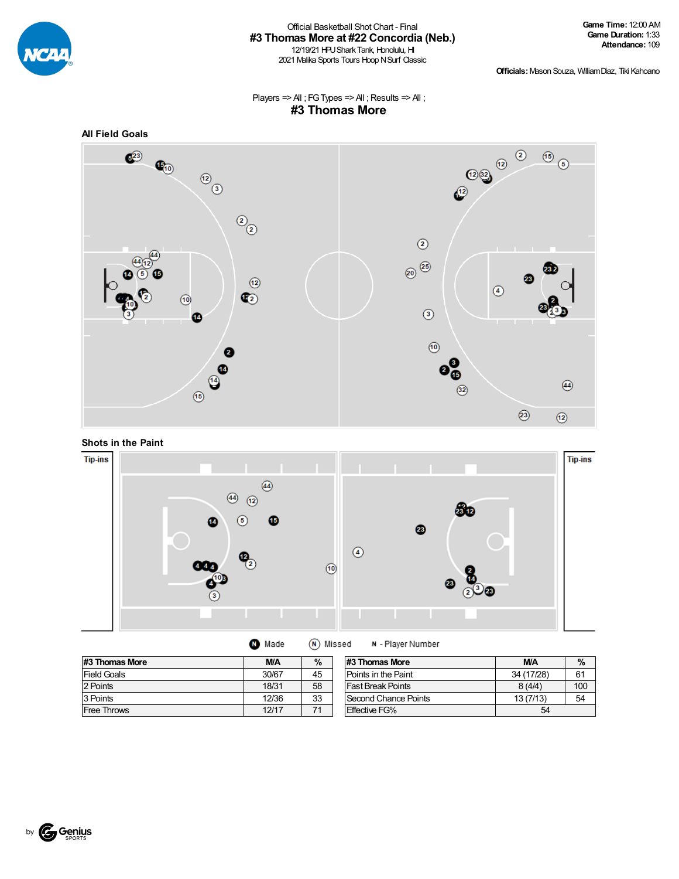

#### Official Basketball ShotChart - Final **#3 Thomas More at #22 Concordia (Neb.)** 12/19/21 HPU Shark Tank, Honolulu, HI

2021 Malika Sports Tours Hoop N Surf Classic

**Officials:**Mason Souza, WilliamDiaz, Tiki Kahoano

Players =>  $AI$  ; FG Types =>  $AI$  ; Results =>  $AI$  ; **#3 Thomas More**



**Shots in the Paint**



| Made | (N) Missed |
|------|------------|
|------|------------|

N - Player Number

| #3 Thomas More     | <b>M/A</b> | %  |
|--------------------|------------|----|
| <b>Field Goals</b> | 30/67      | 45 |
| 2 Points           | 18/31      | 58 |
| 3 Points           | 12/36      | 33 |
| <b>Free Throws</b> | 12/17      |    |

| #3 Thomas More           | <b>M/A</b> | $\%$ |
|--------------------------|------------|------|
| Points in the Paint      | 34 (17/28) | 61   |
| <b>Fast Break Points</b> | 8(4/4)     | 100  |
| Second Chance Points     | 13(7/13)   | 54   |
| <b>Effective FG%</b>     |            |      |